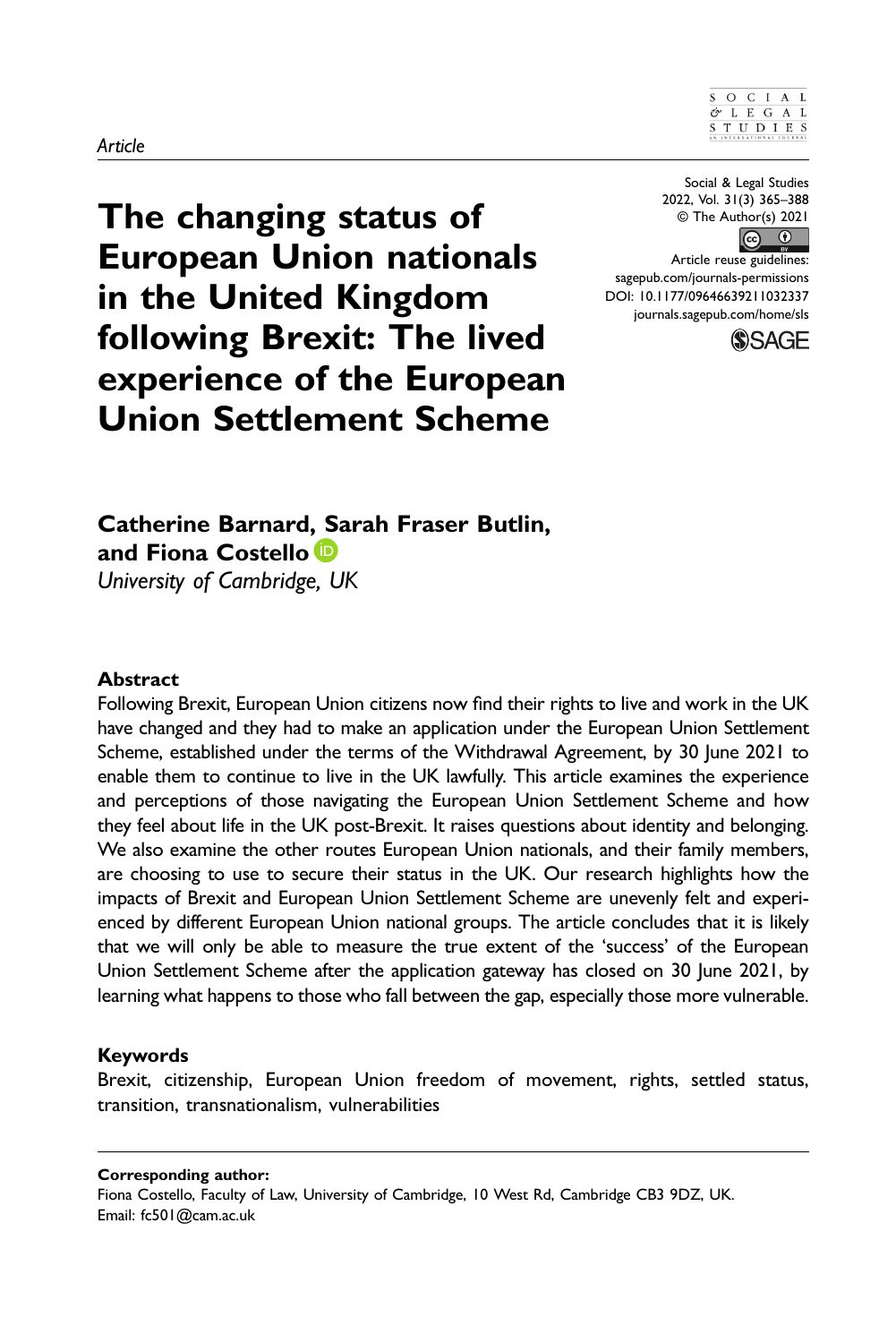#### $S$  O C I A L  $OL E G A L$  $S T U D I E S 1 S 1 S 1 S 1 S 1 S 1 S 1 S 1 S 1 S 1 S 1 S 1 S 1 S 1 </u>$

Social & Legal Studies 2022, Vol. 31(3) 365–388 © The Author(s) 2021

 $\circledcirc$   $\circledcirc$ Article reuse guidelines: [sagepub.com/journals-permissions](https://us.sagepub.com/en-us/journals-permissions) DOI: 10.1177/09646639211032337 [journals.sagepub.com/home/sls](https://journals.sagepub.com/home/sls)



The changing status of European Union nationals in the United Kingdom following Brexit: The lived experience of the European Union Settlement Scheme

Catherine Barnard, Sarah Fraser Butlin,

## Abstract

and Fiona Costello<sup>D</sup> University of Cambridge, UK

Following Brexit, European Union citizens now find their rights to live and work in the UK have changed and they had to make an application under the European Union Settlement Scheme, established under the terms of the Withdrawal Agreement, by 30 June 2021 to enable them to continue to live in the UK lawfully. This article examines the experience and perceptions of those navigating the European Union Settlement Scheme and how they feel about life in the UK post-Brexit. It raises questions about identity and belonging. We also examine the other routes European Union nationals, and their family members, are choosing to use to secure their status in the UK. Our research highlights how the impacts of Brexit and European Union Settlement Scheme are unevenly felt and experienced by different European Union national groups. The article concludes that it is likely that we will only be able to measure the true extent of the 'success' of the European Union Settlement Scheme after the application gateway has closed on 30 June 2021, by learning what happens to those who fall between the gap, especially those more vulnerable.

### Keywords

Brexit, citizenship, European Union freedom of movement, rights, settled status, transition, transnationalism, vulnerabilities

Corresponding author:

Fiona Costello, Faculty of Law, University of Cambridge, 10 West Rd, Cambridge CB3 9DZ, UK. Email: [fc501@cam.ac.uk](mailto:fc501@cam.ac.uk)

#### Article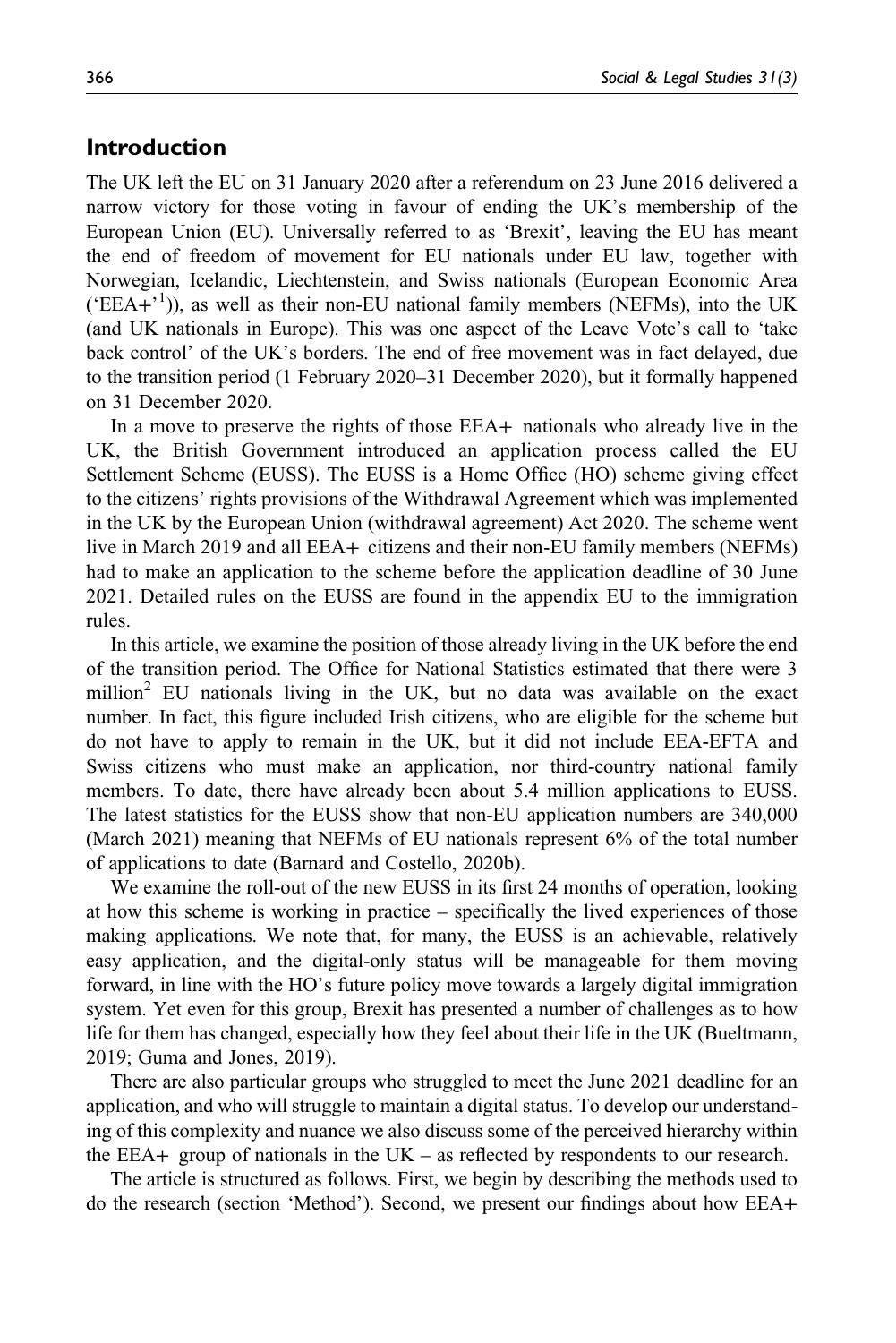## Introduction

The UK left the EU on 31 January 2020 after a referendum on 23 June 2016 delivered a narrow victory for those voting in favour of ending the UK's membership of the European Union (EU). Universally referred to as 'Brexit', leaving the EU has meant the end of freedom of movement for EU nationals under EU law, together with Norwegian, Icelandic, Liechtenstein, and Swiss nationals (European Economic Area  $( 'EEA+'')$ ), as well as their non-EU national family members (NEFMs), into the UK (and UK nationals in Europe). This was one aspect of the Leave Vote's call to 'take back control' of the UK's borders. The end of free movement was in fact delayed, due to the transition period (1 February 2020–31 December 2020), but it formally happened on 31 December 2020.

In a move to preserve the rights of those EEA+ nationals who already live in the UK, the British Government introduced an application process called the EU Settlement Scheme (EUSS). The EUSS is a Home Office (HO) scheme giving effect to the citizens' rights provisions of the Withdrawal Agreement which was implemented in the UK by the European Union (withdrawal agreement) Act 2020. The scheme went live in March 2019 and all EEA+ citizens and their non-EU family members (NEFMs) had to make an application to the scheme before the application deadline of 30 June 2021. Detailed rules on the EUSS are found in the appendix EU to the immigration rules.

In this article, we examine the position of those already living in the UK before the end of the transition period. The Office for National Statistics estimated that there were 3 million<sup>2</sup> EU nationals living in the UK, but no data was available on the exact number. In fact, this figure included Irish citizens, who are eligible for the scheme but do not have to apply to remain in the UK, but it did not include EEA-EFTA and Swiss citizens who must make an application, nor third-country national family members. To date, there have already been about 5.4 million applications to EUSS. The latest statistics for the EUSS show that non-EU application numbers are 340,000 (March 2021) meaning that NEFMs of EU nationals represent 6% of the total number of applications to date (Barnard and Costello, 2020b).

We examine the roll-out of the new EUSS in its first 24 months of operation, looking at how this scheme is working in practice – specifically the lived experiences of those making applications. We note that, for many, the EUSS is an achievable, relatively easy application, and the digital-only status will be manageable for them moving forward, in line with the HO's future policy move towards a largely digital immigration system. Yet even for this group, Brexit has presented a number of challenges as to how life for them has changed, especially how they feel about their life in the UK (Bueltmann, 2019; Guma and Jones, 2019).

There are also particular groups who struggled to meet the June 2021 deadline for an application, and who will struggle to maintain a digital status. To develop our understanding of this complexity and nuance we also discuss some of the perceived hierarchy within the EEA+ group of nationals in the UK – as reflected by respondents to our research.

The article is structured as follows. First, we begin by describing the methods used to do the research (section 'Method'). Second, we present our findings about how EEA+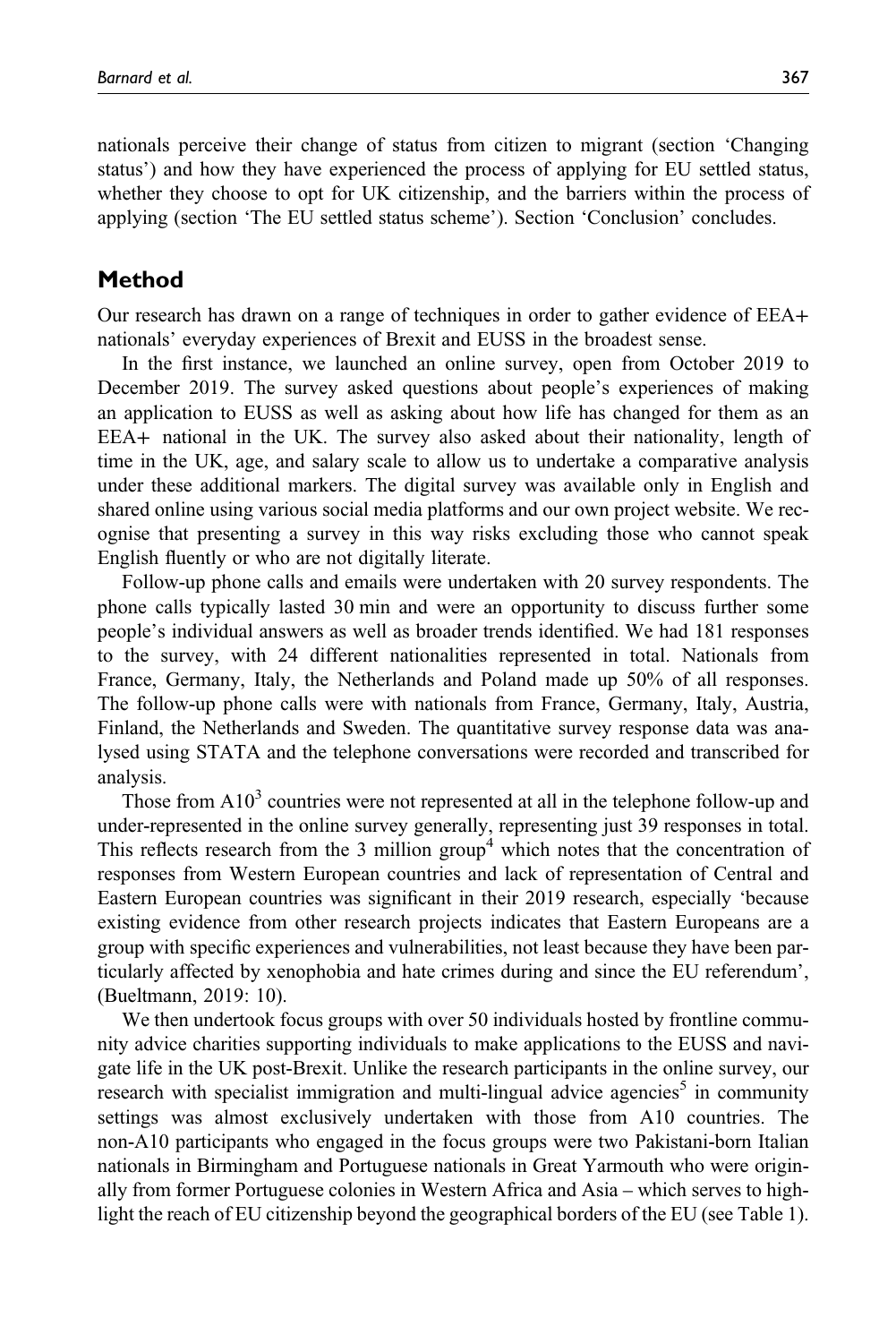nationals perceive their change of status from citizen to migrant (section 'Changing status') and how they have experienced the process of applying for EU settled status,

whether they choose to opt for UK citizenship, and the barriers within the process of applying (section 'The EU settled status scheme'). Section 'Conclusion' concludes.

# Method

Our research has drawn on a range of techniques in order to gather evidence of EEA+ nationals' everyday experiences of Brexit and EUSS in the broadest sense.

In the first instance, we launched an online survey, open from October 2019 to December 2019. The survey asked questions about people's experiences of making an application to EUSS as well as asking about how life has changed for them as an EEA+ national in the UK. The survey also asked about their nationality, length of time in the UK, age, and salary scale to allow us to undertake a comparative analysis under these additional markers. The digital survey was available only in English and shared online using various social media platforms and our own project website. We recognise that presenting a survey in this way risks excluding those who cannot speak English fluently or who are not digitally literate.

Follow-up phone calls and emails were undertaken with 20 survey respondents. The phone calls typically lasted 30 min and were an opportunity to discuss further some people's individual answers as well as broader trends identified. We had 181 responses to the survey, with 24 different nationalities represented in total. Nationals from France, Germany, Italy, the Netherlands and Poland made up 50% of all responses. The follow-up phone calls were with nationals from France, Germany, Italy, Austria, Finland, the Netherlands and Sweden. The quantitative survey response data was analysed using STATA and the telephone conversations were recorded and transcribed for analysis.

Those from  $A10<sup>3</sup>$  countries were not represented at all in the telephone follow-up and under-represented in the online survey generally, representing just 39 responses in total. This reflects research from the 3 million group<sup>4</sup> which notes that the concentration of responses from Western European countries and lack of representation of Central and Eastern European countries was significant in their 2019 research, especially 'because existing evidence from other research projects indicates that Eastern Europeans are a group with specific experiences and vulnerabilities, not least because they have been particularly affected by xenophobia and hate crimes during and since the EU referendum', (Bueltmann, 2019: 10).

We then undertook focus groups with over 50 individuals hosted by frontline community advice charities supporting individuals to make applications to the EUSS and navigate life in the UK post-Brexit. Unlike the research participants in the online survey, our research with specialist immigration and multi-lingual advice agencies<sup>5</sup> in community settings was almost exclusively undertaken with those from A10 countries. The non-A10 participants who engaged in the focus groups were two Pakistani-born Italian nationals in Birmingham and Portuguese nationals in Great Yarmouth who were originally from former Portuguese colonies in Western Africa and Asia – which serves to highlight the reach of EU citizenship beyond the geographical borders of the EU (see Table 1).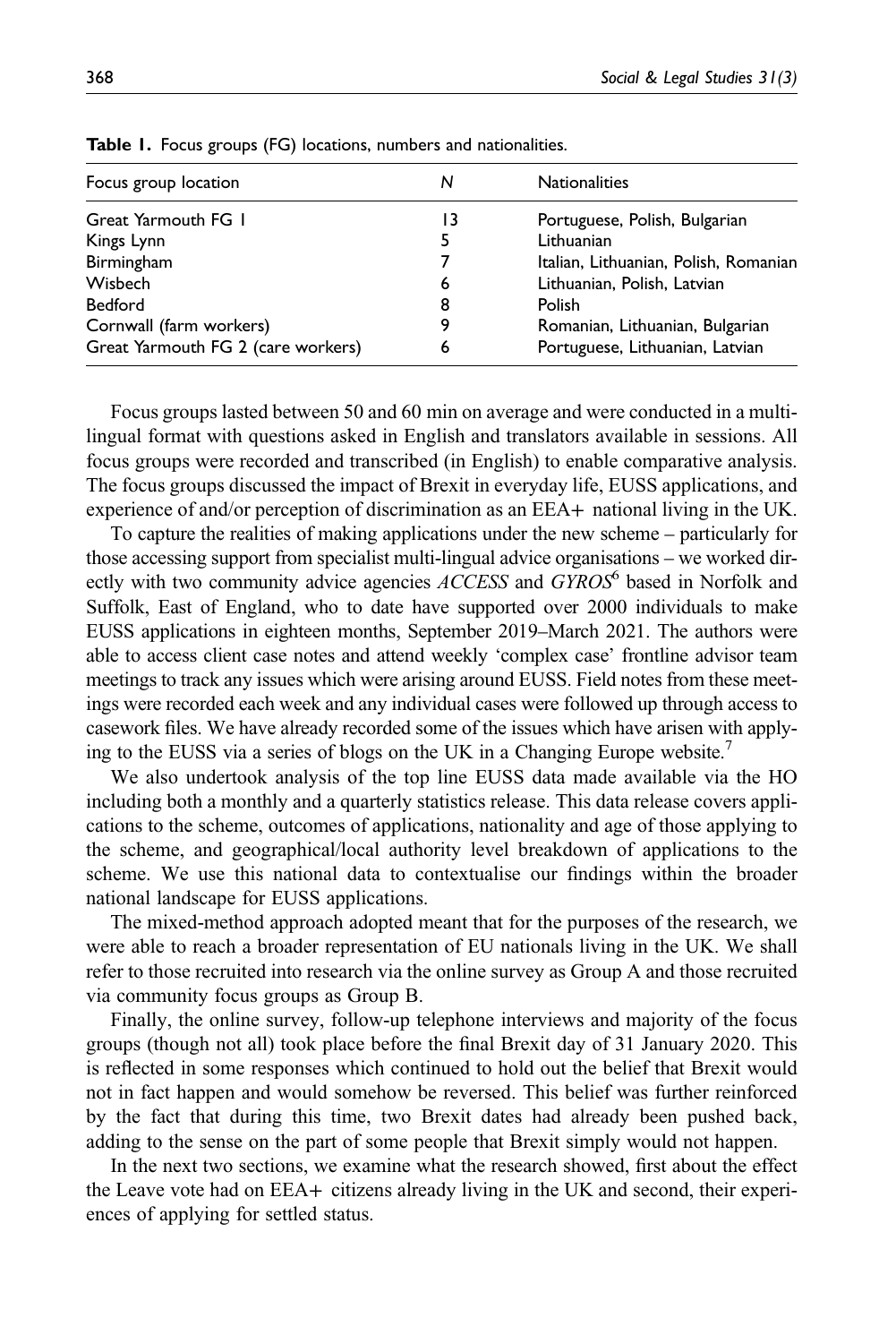| Focus group location               | N  | <b>Nationalities</b>                  |
|------------------------------------|----|---------------------------------------|
| Great Yarmouth FG 1                | 13 | Portuguese, Polish, Bulgarian         |
| Kings Lynn                         | 5  | Lithuanian                            |
| Birmingham                         |    | Italian, Lithuanian, Polish, Romanian |
| Wisbech                            | 6  | Lithuanian, Polish, Latvian           |
| <b>Bedford</b>                     | 8  | Polish                                |
| Cornwall (farm workers)            | 9  | Romanian, Lithuanian, Bulgarian       |
| Great Yarmouth FG 2 (care workers) | 6  | Portuguese, Lithuanian, Latvian       |
|                                    |    |                                       |

Table 1. Focus groups (FG) locations, numbers and nationalities.

Focus groups lasted between 50 and 60 min on average and were conducted in a multilingual format with questions asked in English and translators available in sessions. All focus groups were recorded and transcribed (in English) to enable comparative analysis. The focus groups discussed the impact of Brexit in everyday life, EUSS applications, and experience of and/or perception of discrimination as an EEA+ national living in the UK.

To capture the realities of making applications under the new scheme – particularly for those accessing support from specialist multi-lingual advice organisations – we worked directly with two community advice agencies  $ACCESS$  and  $GYROS<sup>6</sup>$  based in Norfolk and Suffolk, East of England, who to date have supported over 2000 individuals to make EUSS applications in eighteen months, September 2019–March 2021. The authors were able to access client case notes and attend weekly 'complex case' frontline advisor team meetings to track any issues which were arising around EUSS. Field notes from these meetings were recorded each week and any individual cases were followed up through access to casework files. We have already recorded some of the issues which have arisen with applying to the EUSS via a series of blogs on the UK in a Changing Europe website.<sup>7</sup>

We also undertook analysis of the top line EUSS data made available via the HO including both a monthly and a quarterly statistics release. This data release covers applications to the scheme, outcomes of applications, nationality and age of those applying to the scheme, and geographical/local authority level breakdown of applications to the scheme. We use this national data to contextualise our findings within the broader national landscape for EUSS applications.

The mixed-method approach adopted meant that for the purposes of the research, we were able to reach a broader representation of EU nationals living in the UK. We shall refer to those recruited into research via the online survey as Group A and those recruited via community focus groups as Group B.

Finally, the online survey, follow-up telephone interviews and majority of the focus groups (though not all) took place before the final Brexit day of 31 January 2020. This is reflected in some responses which continued to hold out the belief that Brexit would not in fact happen and would somehow be reversed. This belief was further reinforced by the fact that during this time, two Brexit dates had already been pushed back, adding to the sense on the part of some people that Brexit simply would not happen.

In the next two sections, we examine what the research showed, first about the effect the Leave vote had on EEA+ citizens already living in the UK and second, their experiences of applying for settled status.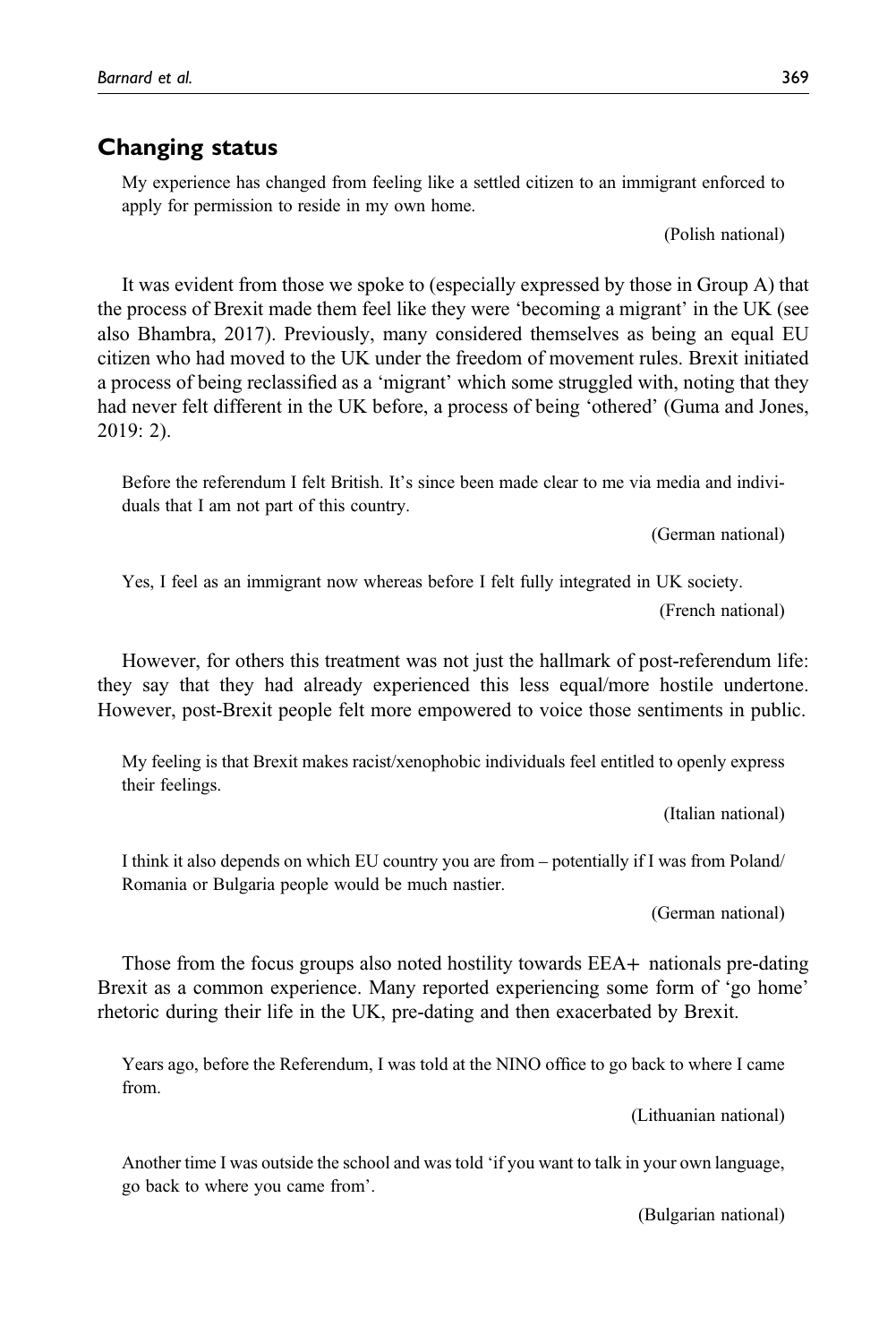# Changing status

My experience has changed from feeling like a settled citizen to an immigrant enforced to apply for permission to reside in my own home.

(Polish national)

It was evident from those we spoke to (especially expressed by those in Group A) that the process of Brexit made them feel like they were 'becoming a migrant' in the UK (see also Bhambra, 2017). Previously, many considered themselves as being an equal EU citizen who had moved to the UK under the freedom of movement rules. Brexit initiated a process of being reclassified as a 'migrant' which some struggled with, noting that they had never felt different in the UK before, a process of being 'othered' (Guma and Jones, 2019: 2).

Before the referendum I felt British. It's since been made clear to me via media and individuals that I am not part of this country.

(German national)

Yes, I feel as an immigrant now whereas before I felt fully integrated in UK society. (French national)

However, for others this treatment was not just the hallmark of post-referendum life: they say that they had already experienced this less equal/more hostile undertone. However, post-Brexit people felt more empowered to voice those sentiments in public.

My feeling is that Brexit makes racist/xenophobic individuals feel entitled to openly express their feelings.

(Italian national)

I think it also depends on which EU country you are from – potentially if I was from Poland/ Romania or Bulgaria people would be much nastier.

(German national)

Those from the focus groups also noted hostility towards EEA+ nationals pre-dating Brexit as a common experience. Many reported experiencing some form of 'go home' rhetoric during their life in the UK, pre-dating and then exacerbated by Brexit.

Years ago, before the Referendum, I was told at the NINO office to go back to where I came from.

(Lithuanian national)

Another time I was outside the school and was told 'if you want to talk in your own language, go back to where you came from'.

(Bulgarian national)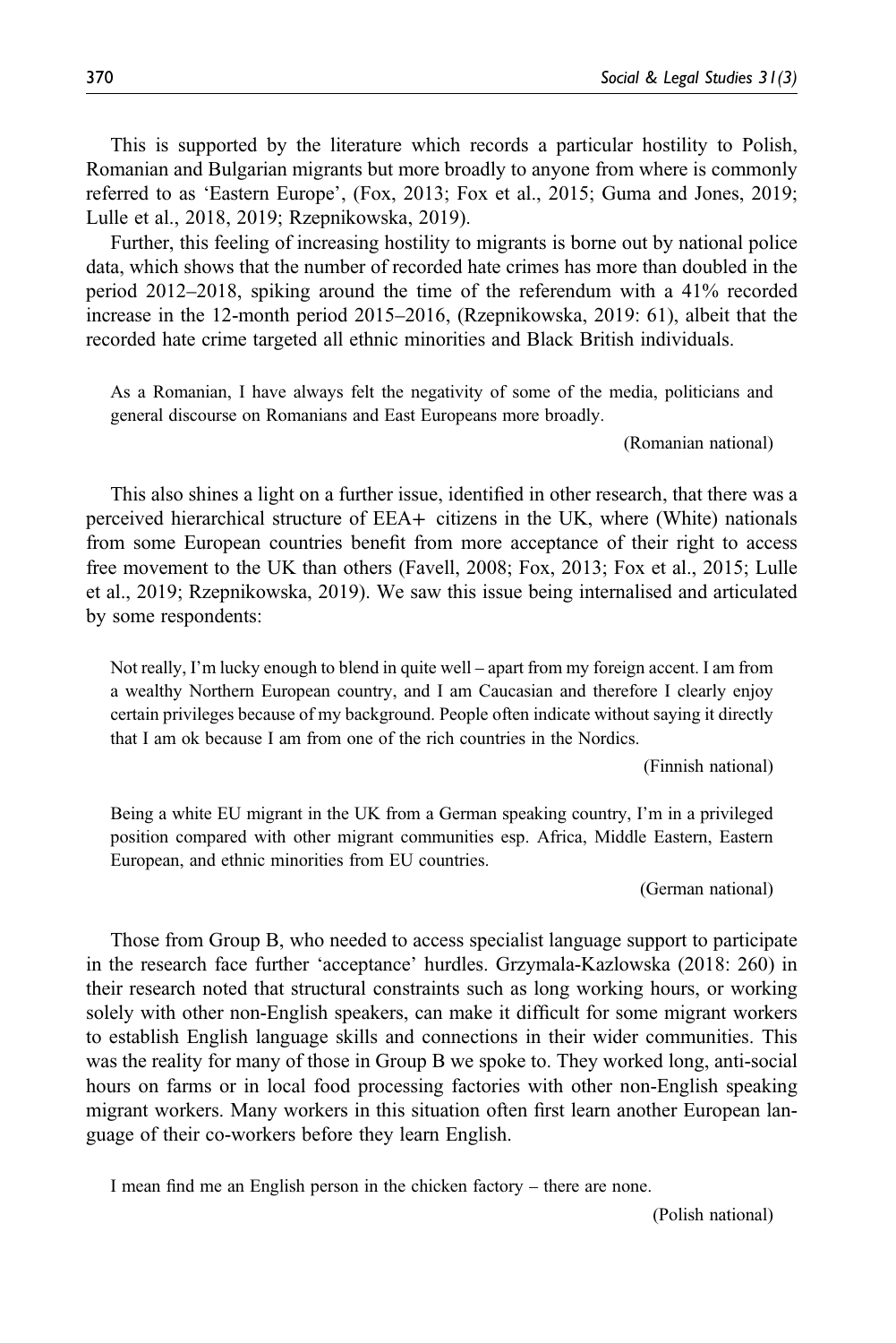This is supported by the literature which records a particular hostility to Polish, Romanian and Bulgarian migrants but more broadly to anyone from where is commonly referred to as 'Eastern Europe', (Fox, 2013; Fox et al., 2015; Guma and Jones, 2019; Lulle et al., 2018, 2019; Rzepnikowska, 2019).

Further, this feeling of increasing hostility to migrants is borne out by national police data, which shows that the number of recorded hate crimes has more than doubled in the period 2012–2018, spiking around the time of the referendum with a 41% recorded increase in the 12-month period 2015–2016, (Rzepnikowska, 2019: 61), albeit that the recorded hate crime targeted all ethnic minorities and Black British individuals.

As a Romanian, I have always felt the negativity of some of the media, politicians and general discourse on Romanians and East Europeans more broadly.

(Romanian national)

This also shines a light on a further issue, identified in other research, that there was a perceived hierarchical structure of EEA+ citizens in the UK, where (White) nationals from some European countries benefit from more acceptance of their right to access free movement to the UK than others (Favell, 2008; Fox, 2013; Fox et al., 2015; Lulle et al., 2019; Rzepnikowska, 2019). We saw this issue being internalised and articulated by some respondents:

Not really, I'm lucky enough to blend in quite well – apart from my foreign accent. I am from a wealthy Northern European country, and I am Caucasian and therefore I clearly enjoy certain privileges because of my background. People often indicate without saying it directly that I am ok because I am from one of the rich countries in the Nordics.

(Finnish national)

Being a white EU migrant in the UK from a German speaking country, I'm in a privileged position compared with other migrant communities esp. Africa, Middle Eastern, Eastern European, and ethnic minorities from EU countries.

(German national)

Those from Group B, who needed to access specialist language support to participate in the research face further 'acceptance' hurdles. Grzymala-Kazlowska (2018: 260) in their research noted that structural constraints such as long working hours, or working solely with other non-English speakers, can make it difficult for some migrant workers to establish English language skills and connections in their wider communities. This was the reality for many of those in Group B we spoke to. They worked long, anti-social hours on farms or in local food processing factories with other non-English speaking migrant workers. Many workers in this situation often first learn another European language of their co-workers before they learn English.

I mean find me an English person in the chicken factory – there are none.

(Polish national)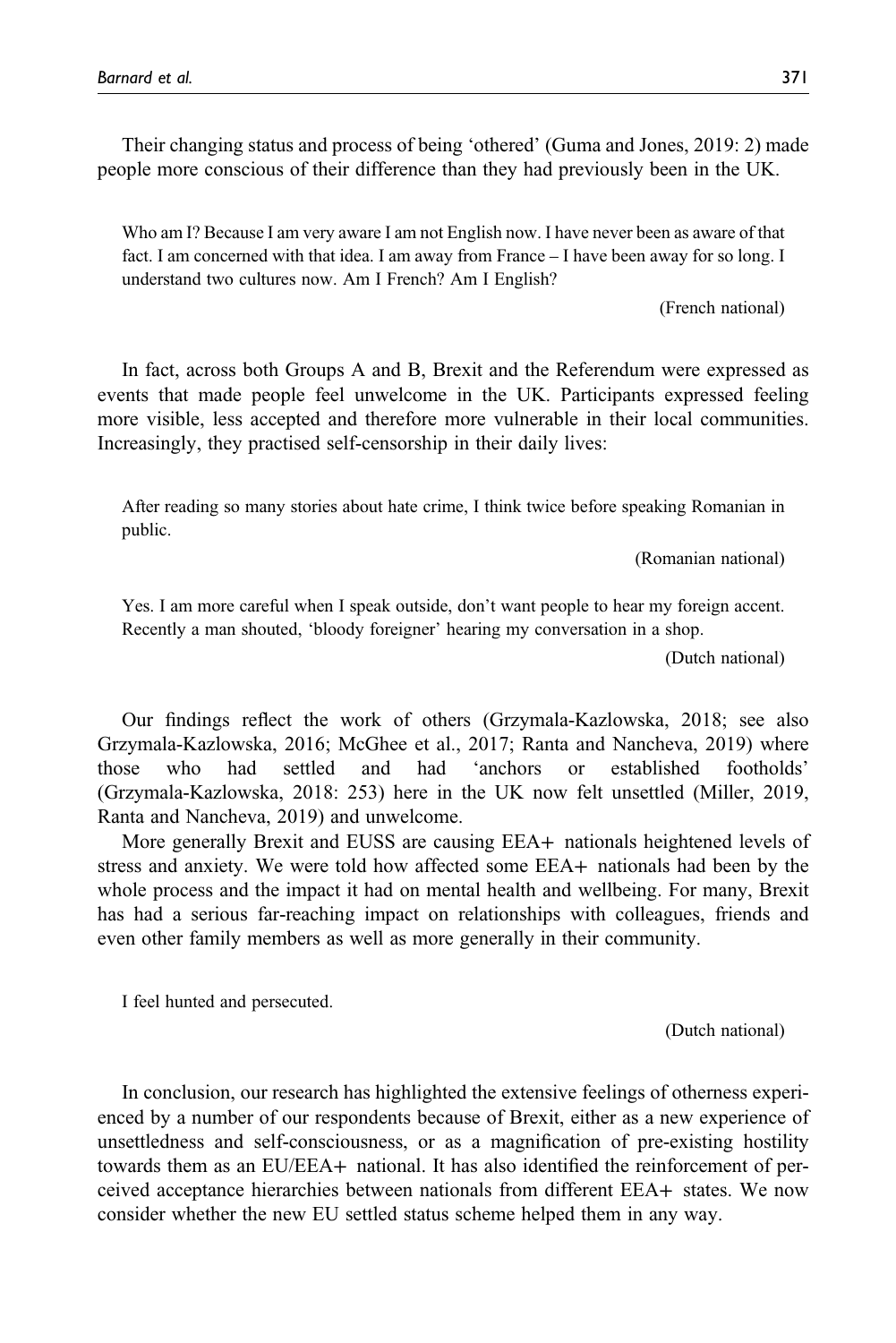Their changing status and process of being 'othered' (Guma and Jones, 2019: 2) made people more conscious of their difference than they had previously been in the UK.

Who am I? Because I am very aware I am not English now. I have never been as aware of that fact. I am concerned with that idea. I am away from France – I have been away for so long. I understand two cultures now. Am I French? Am I English?

(French national)

In fact, across both Groups A and B, Brexit and the Referendum were expressed as events that made people feel unwelcome in the UK. Participants expressed feeling more visible, less accepted and therefore more vulnerable in their local communities. Increasingly, they practised self-censorship in their daily lives:

After reading so many stories about hate crime, I think twice before speaking Romanian in public.

(Romanian national)

Yes. I am more careful when I speak outside, don't want people to hear my foreign accent. Recently a man shouted, 'bloody foreigner' hearing my conversation in a shop.

(Dutch national)

Our findings reflect the work of others (Grzymala-Kazlowska, 2018; see also Grzymala-Kazlowska, 2016; McGhee et al., 2017; Ranta and Nancheva, 2019) where those who had settled and had 'anchors or established footholds' (Grzymala-Kazlowska, 2018: 253) here in the UK now felt unsettled (Miller, 2019, Ranta and Nancheva, 2019) and unwelcome.

More generally Brexit and EUSS are causing EEA+ nationals heightened levels of stress and anxiety. We were told how affected some EEA+ nationals had been by the whole process and the impact it had on mental health and wellbeing. For many, Brexit has had a serious far-reaching impact on relationships with colleagues, friends and even other family members as well as more generally in their community.

I feel hunted and persecuted.

(Dutch national)

In conclusion, our research has highlighted the extensive feelings of otherness experienced by a number of our respondents because of Brexit, either as a new experience of unsettledness and self-consciousness, or as a magnification of pre-existing hostility towards them as an EU/EEA+ national. It has also identified the reinforcement of perceived acceptance hierarchies between nationals from different EEA+ states. We now consider whether the new EU settled status scheme helped them in any way.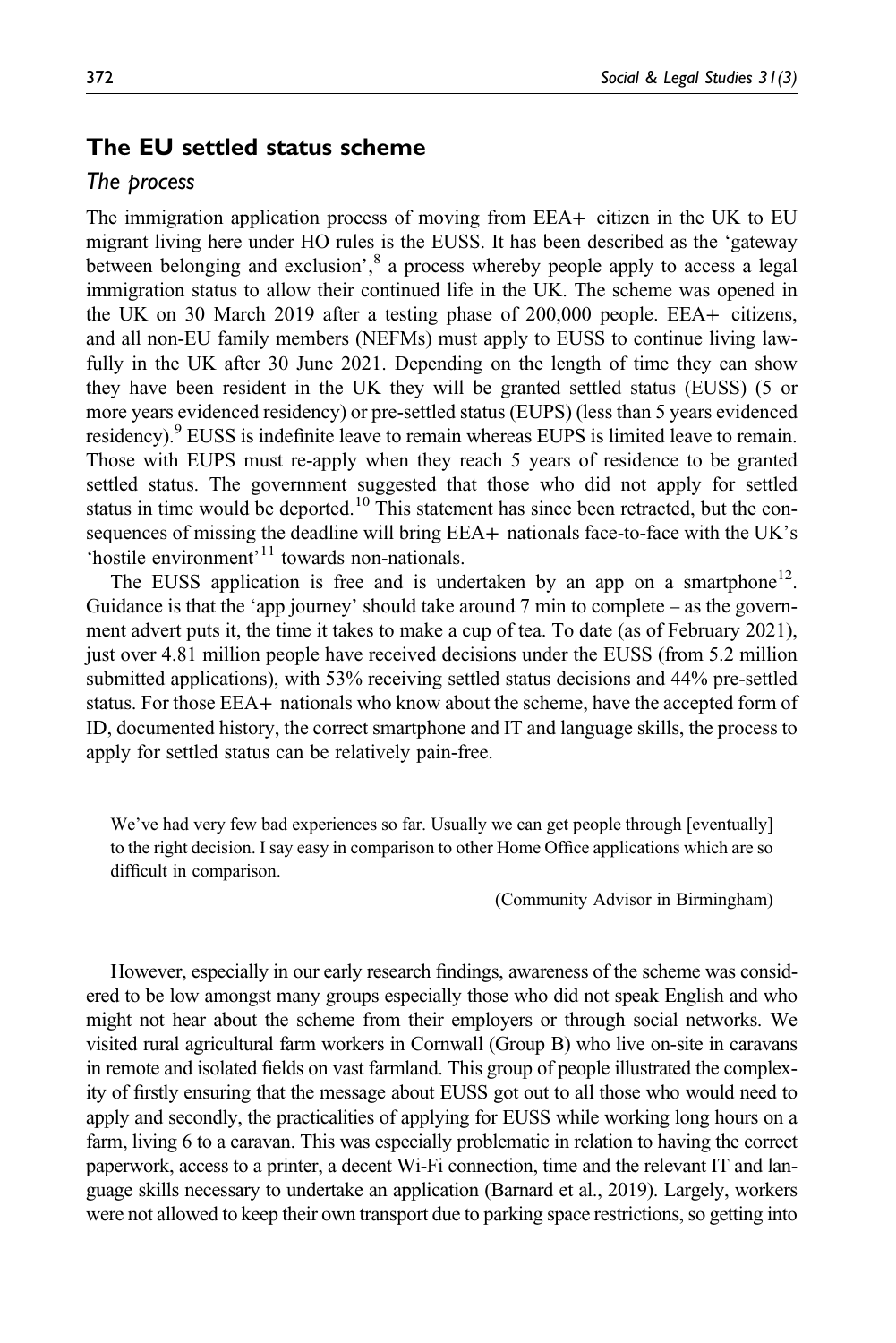# The EU settled status scheme

### The process

The immigration application process of moving from EEA+ citizen in the UK to EU migrant living here under HO rules is the EUSS. It has been described as the 'gateway between belonging and exclusion',  $8$  a process whereby people apply to access a legal immigration status to allow their continued life in the UK. The scheme was opened in the UK on 30 March 2019 after a testing phase of 200,000 people. EEA+ citizens, and all non-EU family members (NEFMs) must apply to EUSS to continue living lawfully in the UK after 30 June 2021. Depending on the length of time they can show they have been resident in the UK they will be granted settled status (EUSS) (5 or more years evidenced residency) or pre-settled status (EUPS) (less than 5 years evidenced residency).<sup>9</sup> EUSS is indefinite leave to remain whereas EUPS is limited leave to remain. Those with EUPS must re-apply when they reach 5 years of residence to be granted settled status. The government suggested that those who did not apply for settled status in time would be deported.<sup>10</sup> This statement has since been retracted, but the consequences of missing the deadline will bring EEA+ nationals face-to-face with the UK's 'hostile environment'<sup>11</sup> towards non-nationals.

The EUSS application is free and is undertaken by an app on a smartphone<sup>12</sup>. Guidance is that the 'app journey' should take around 7 min to complete – as the government advert puts it, the time it takes to make a cup of tea. To date (as of February 2021), just over 4.81 million people have received decisions under the EUSS (from 5.2 million submitted applications), with 53% receiving settled status decisions and 44% pre-settled status. For those EEA+ nationals who know about the scheme, have the accepted form of ID, documented history, the correct smartphone and IT and language skills, the process to apply for settled status can be relatively pain-free.

We've had very few bad experiences so far. Usually we can get people through [eventually] to the right decision. I say easy in comparison to other Home Office applications which are so difficult in comparison.

(Community Advisor in Birmingham)

However, especially in our early research findings, awareness of the scheme was considered to be low amongst many groups especially those who did not speak English and who might not hear about the scheme from their employers or through social networks. We visited rural agricultural farm workers in Cornwall (Group B) who live on-site in caravans in remote and isolated fields on vast farmland. This group of people illustrated the complexity of firstly ensuring that the message about EUSS got out to all those who would need to apply and secondly, the practicalities of applying for EUSS while working long hours on a farm, living 6 to a caravan. This was especially problematic in relation to having the correct paperwork, access to a printer, a decent Wi-Fi connection, time and the relevant IT and language skills necessary to undertake an application (Barnard et al., 2019). Largely, workers were not allowed to keep their own transport due to parking space restrictions, so getting into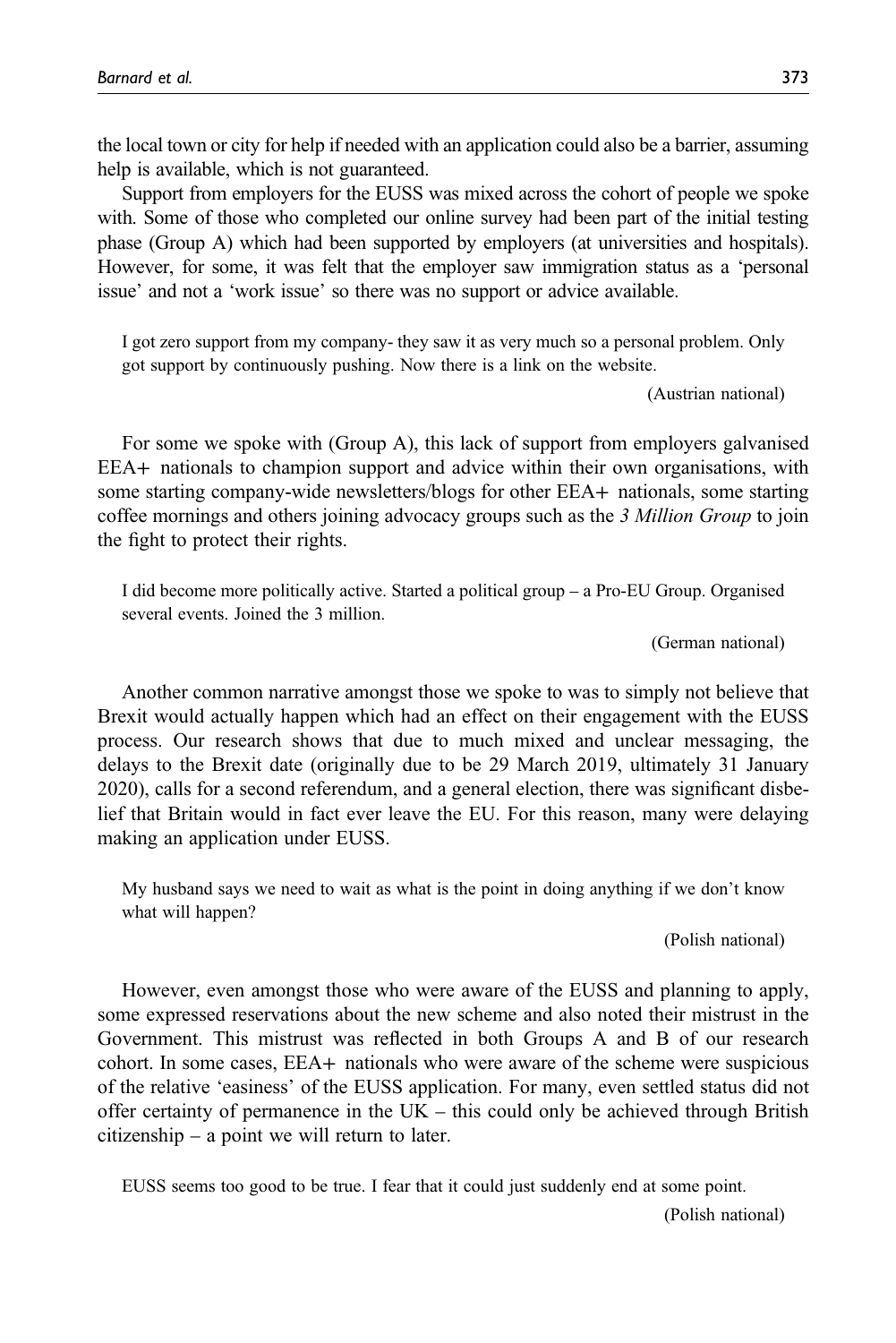the local town or city for help if needed with an application could also be a barrier, assuming help is available, which is not guaranteed.

Support from employers for the EUSS was mixed across the cohort of people we spoke with. Some of those who completed our online survey had been part of the initial testing phase (Group A) which had been supported by employers (at universities and hospitals). However, for some, it was felt that the employer saw immigration status as a 'personal issue' and not a 'work issue' so there was no support or advice available.

I got zero support from my company- they saw it as very much so a personal problem. Only got support by continuously pushing. Now there is a link on the website.

(Austrian national)

For some we spoke with (Group A), this lack of support from employers galvanised EEA+ nationals to champion support and advice within their own organisations, with some starting company-wide newsletters/blogs for other EEA+ nationals, some starting coffee mornings and others joining advocacy groups such as the 3 Million Group to join the fight to protect their rights.

I did become more politically active. Started a political group – a Pro-EU Group. Organised several events. Joined the 3 million.

(German national)

Another common narrative amongst those we spoke to was to simply not believe that Brexit would actually happen which had an effect on their engagement with the EUSS process. Our research shows that due to much mixed and unclear messaging, the delays to the Brexit date (originally due to be 29 March 2019, ultimately 31 January 2020), calls for a second referendum, and a general election, there was significant disbelief that Britain would in fact ever leave the EU. For this reason, many were delaying making an application under EUSS.

My husband says we need to wait as what is the point in doing anything if we don't know what will happen?

(Polish national)

However, even amongst those who were aware of the EUSS and planning to apply, some expressed reservations about the new scheme and also noted their mistrust in the Government. This mistrust was reflected in both Groups A and B of our research cohort. In some cases, EEA+ nationals who were aware of the scheme were suspicious of the relative 'easiness' of the EUSS application. For many, even settled status did not offer certainty of permanence in the UK – this could only be achieved through British citizenship – a point we will return to later.

EUSS seems too good to be true. I fear that it could just suddenly end at some point.

(Polish national)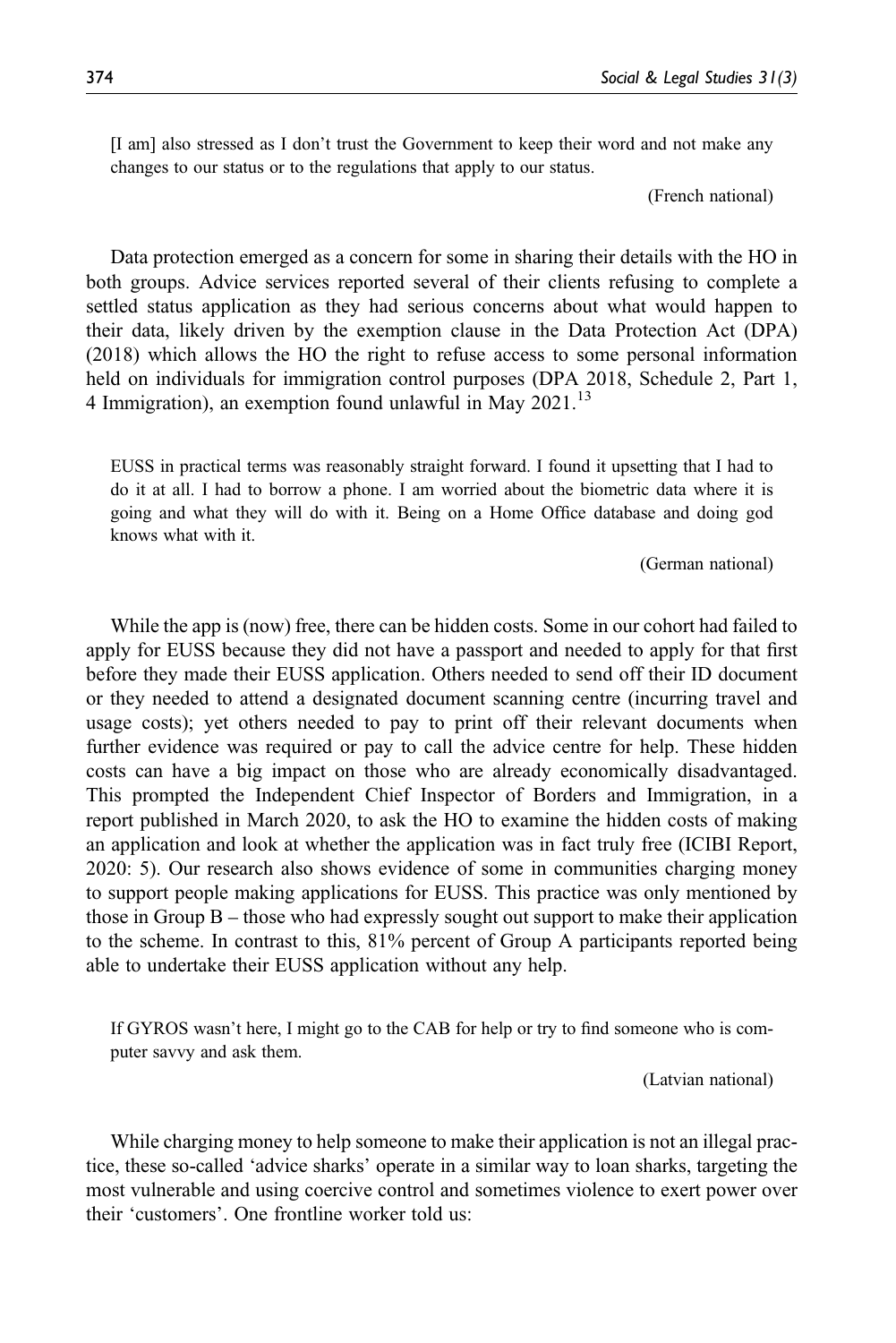[I am] also stressed as I don't trust the Government to keep their word and not make any changes to our status or to the regulations that apply to our status.

(French national)

Data protection emerged as a concern for some in sharing their details with the HO in both groups. Advice services reported several of their clients refusing to complete a settled status application as they had serious concerns about what would happen to their data, likely driven by the exemption clause in the Data Protection Act (DPA) (2018) which allows the HO the right to refuse access to some personal information held on individuals for immigration control purposes (DPA 2018, Schedule 2, Part 1, 4 Immigration), an exemption found unlawful in May  $2021$ .<sup>13</sup>

EUSS in practical terms was reasonably straight forward. I found it upsetting that I had to do it at all. I had to borrow a phone. I am worried about the biometric data where it is going and what they will do with it. Being on a Home Office database and doing god knows what with it.

(German national)

While the app is (now) free, there can be hidden costs. Some in our cohort had failed to apply for EUSS because they did not have a passport and needed to apply for that first before they made their EUSS application. Others needed to send off their ID document or they needed to attend a designated document scanning centre (incurring travel and usage costs); yet others needed to pay to print off their relevant documents when further evidence was required or pay to call the advice centre for help. These hidden costs can have a big impact on those who are already economically disadvantaged. This prompted the Independent Chief Inspector of Borders and Immigration, in a report published in March 2020, to ask the HO to examine the hidden costs of making an application and look at whether the application was in fact truly free (ICIBI Report, 2020: 5). Our research also shows evidence of some in communities charging money to support people making applications for EUSS. This practice was only mentioned by those in Group B – those who had expressly sought out support to make their application to the scheme. In contrast to this, 81% percent of Group A participants reported being able to undertake their EUSS application without any help.

If GYROS wasn't here, I might go to the CAB for help or try to find someone who is computer savvy and ask them.

(Latvian national)

While charging money to help someone to make their application is not an illegal practice, these so-called 'advice sharks' operate in a similar way to loan sharks, targeting the most vulnerable and using coercive control and sometimes violence to exert power over their 'customers'. One frontline worker told us: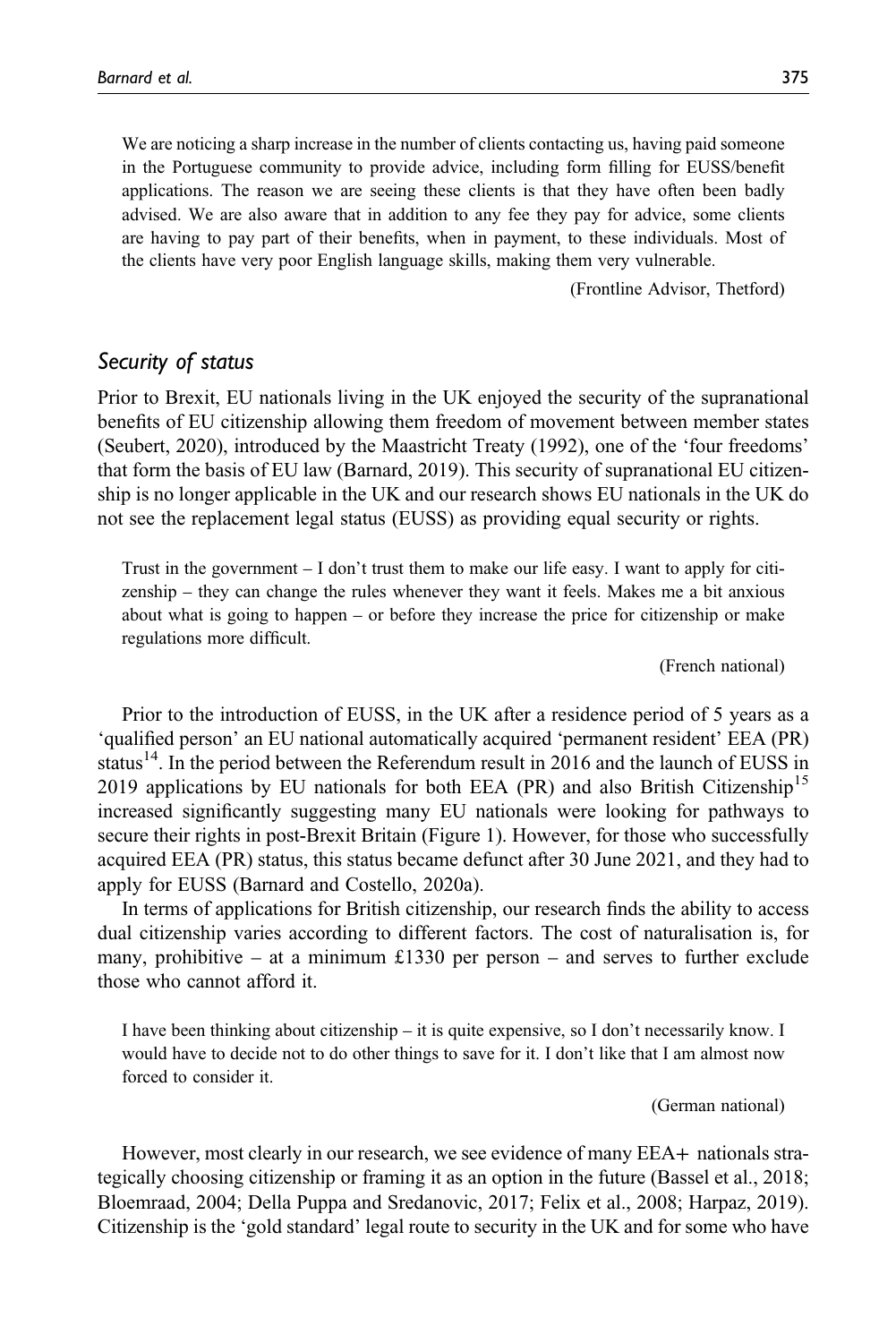We are noticing a sharp increase in the number of clients contacting us, having paid someone in the Portuguese community to provide advice, including form filling for EUSS/benefit applications. The reason we are seeing these clients is that they have often been badly advised. We are also aware that in addition to any fee they pay for advice, some clients are having to pay part of their benefits, when in payment, to these individuals. Most of the clients have very poor English language skills, making them very vulnerable.

(Frontline Advisor, Thetford)

## Security of status

Prior to Brexit, EU nationals living in the UK enjoyed the security of the supranational benefits of EU citizenship allowing them freedom of movement between member states (Seubert, 2020), introduced by the Maastricht Treaty (1992), one of the 'four freedoms' that form the basis of EU law (Barnard, 2019). This security of supranational EU citizenship is no longer applicable in the UK and our research shows EU nationals in the UK do not see the replacement legal status (EUSS) as providing equal security or rights.

Trust in the government – I don't trust them to make our life easy. I want to apply for citizenship – they can change the rules whenever they want it feels. Makes me a bit anxious about what is going to happen – or before they increase the price for citizenship or make regulations more difficult.

(French national)

Prior to the introduction of EUSS, in the UK after a residence period of 5 years as a 'qualified person' an EU national automatically acquired 'permanent resident' EEA (PR) status<sup>14</sup>. In the period between the Referendum result in 2016 and the launch of EUSS in 2019 applications by EU nationals for both EEA (PR) and also British Citizenship<sup>15</sup> increased significantly suggesting many EU nationals were looking for pathways to secure their rights in post-Brexit Britain (Figure 1). However, for those who successfully acquired EEA (PR) status, this status became defunct after 30 June 2021, and they had to apply for EUSS (Barnard and Costello, 2020a).

In terms of applications for British citizenship, our research finds the ability to access dual citizenship varies according to different factors. The cost of naturalisation is, for many, prohibitive – at a minimum £1330 per person – and serves to further exclude those who cannot afford it.

I have been thinking about citizenship – it is quite expensive, so I don't necessarily know. I would have to decide not to do other things to save for it. I don't like that I am almost now forced to consider it.

(German national)

However, most clearly in our research, we see evidence of many EEA+ nationals strategically choosing citizenship or framing it as an option in the future (Bassel et al., 2018; Bloemraad, 2004; Della Puppa and Sredanovic, 2017; Felix et al., 2008; Harpaz, 2019). Citizenship is the 'gold standard' legal route to security in the UK and for some who have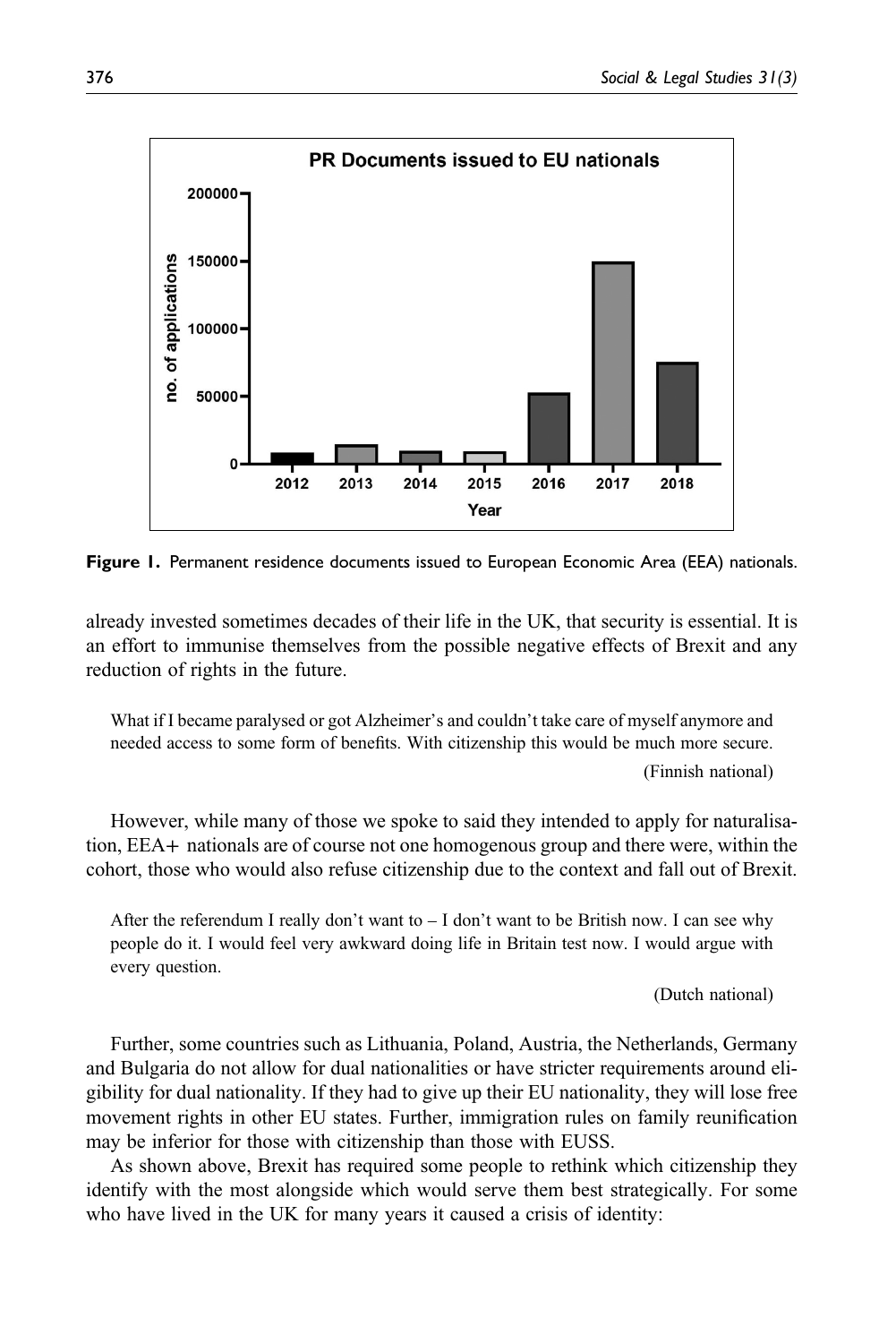

Figure 1. Permanent residence documents issued to European Economic Area (EEA) nationals.

already invested sometimes decades of their life in the UK, that security is essential. It is an effort to immunise themselves from the possible negative effects of Brexit and any reduction of rights in the future.

What if I became paralysed or got Alzheimer's and couldn't take care of myself anymore and needed access to some form of benefits. With citizenship this would be much more secure. (Finnish national)

However, while many of those we spoke to said they intended to apply for naturalisation, EEA+ nationals are of course not one homogenous group and there were, within the cohort, those who would also refuse citizenship due to the context and fall out of Brexit.

After the referendum I really don't want to  $- I$  don't want to be British now. I can see why people do it. I would feel very awkward doing life in Britain test now. I would argue with every question.

(Dutch national)

Further, some countries such as Lithuania, Poland, Austria, the Netherlands, Germany and Bulgaria do not allow for dual nationalities or have stricter requirements around eligibility for dual nationality. If they had to give up their EU nationality, they will lose free movement rights in other EU states. Further, immigration rules on family reunification may be inferior for those with citizenship than those with EUSS.

As shown above, Brexit has required some people to rethink which citizenship they identify with the most alongside which would serve them best strategically. For some who have lived in the UK for many years it caused a crisis of identity: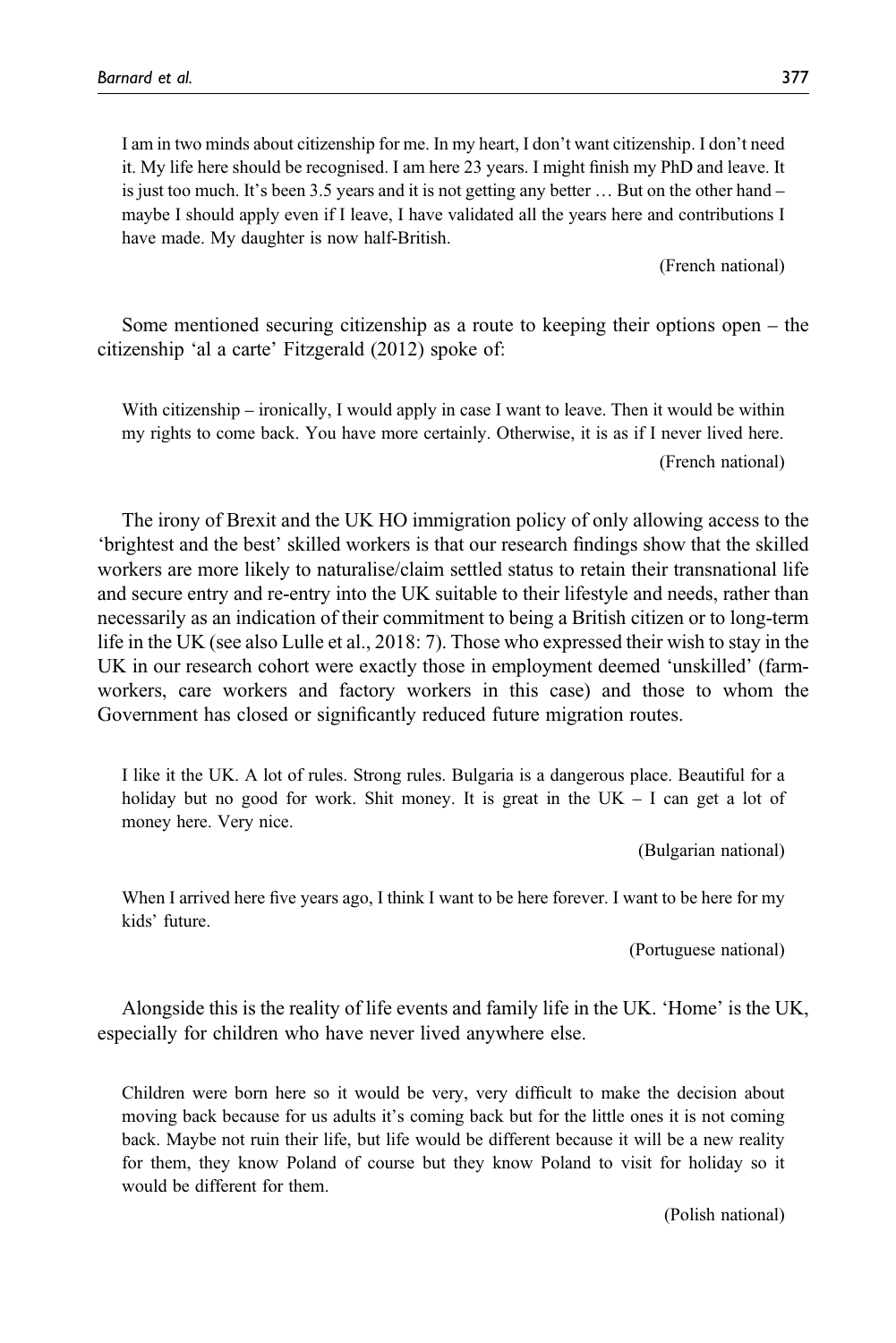I am in two minds about citizenship for me. In my heart, I don't want citizenship. I don't need it. My life here should be recognised. I am here 23 years. I might finish my PhD and leave. It is just too much. It's been 3.5 years and it is not getting any better … But on the other hand – maybe I should apply even if I leave, I have validated all the years here and contributions I have made. My daughter is now half-British.

(French national)

Some mentioned securing citizenship as a route to keeping their options open – the citizenship 'al a carte' Fitzgerald (2012) spoke of:

With citizenship – ironically, I would apply in case I want to leave. Then it would be within my rights to come back. You have more certainly. Otherwise, it is as if I never lived here. (French national)

The irony of Brexit and the UK HO immigration policy of only allowing access to the 'brightest and the best' skilled workers is that our research findings show that the skilled workers are more likely to naturalise/claim settled status to retain their transnational life and secure entry and re-entry into the UK suitable to their lifestyle and needs, rather than necessarily as an indication of their commitment to being a British citizen or to long-term life in the UK (see also Lulle et al., 2018: 7). Those who expressed their wish to stay in the UK in our research cohort were exactly those in employment deemed 'unskilled' (farmworkers, care workers and factory workers in this case) and those to whom the Government has closed or significantly reduced future migration routes.

I like it the UK. A lot of rules. Strong rules. Bulgaria is a dangerous place. Beautiful for a holiday but no good for work. Shit money. It is great in the  $UK - I$  can get a lot of money here. Very nice.

(Bulgarian national)

When I arrived here five years ago, I think I want to be here forever. I want to be here for my kids' future.

(Portuguese national)

Alongside this is the reality of life events and family life in the UK. 'Home' is the UK, especially for children who have never lived anywhere else.

Children were born here so it would be very, very difficult to make the decision about moving back because for us adults it's coming back but for the little ones it is not coming back. Maybe not ruin their life, but life would be different because it will be a new reality for them, they know Poland of course but they know Poland to visit for holiday so it would be different for them.

(Polish national)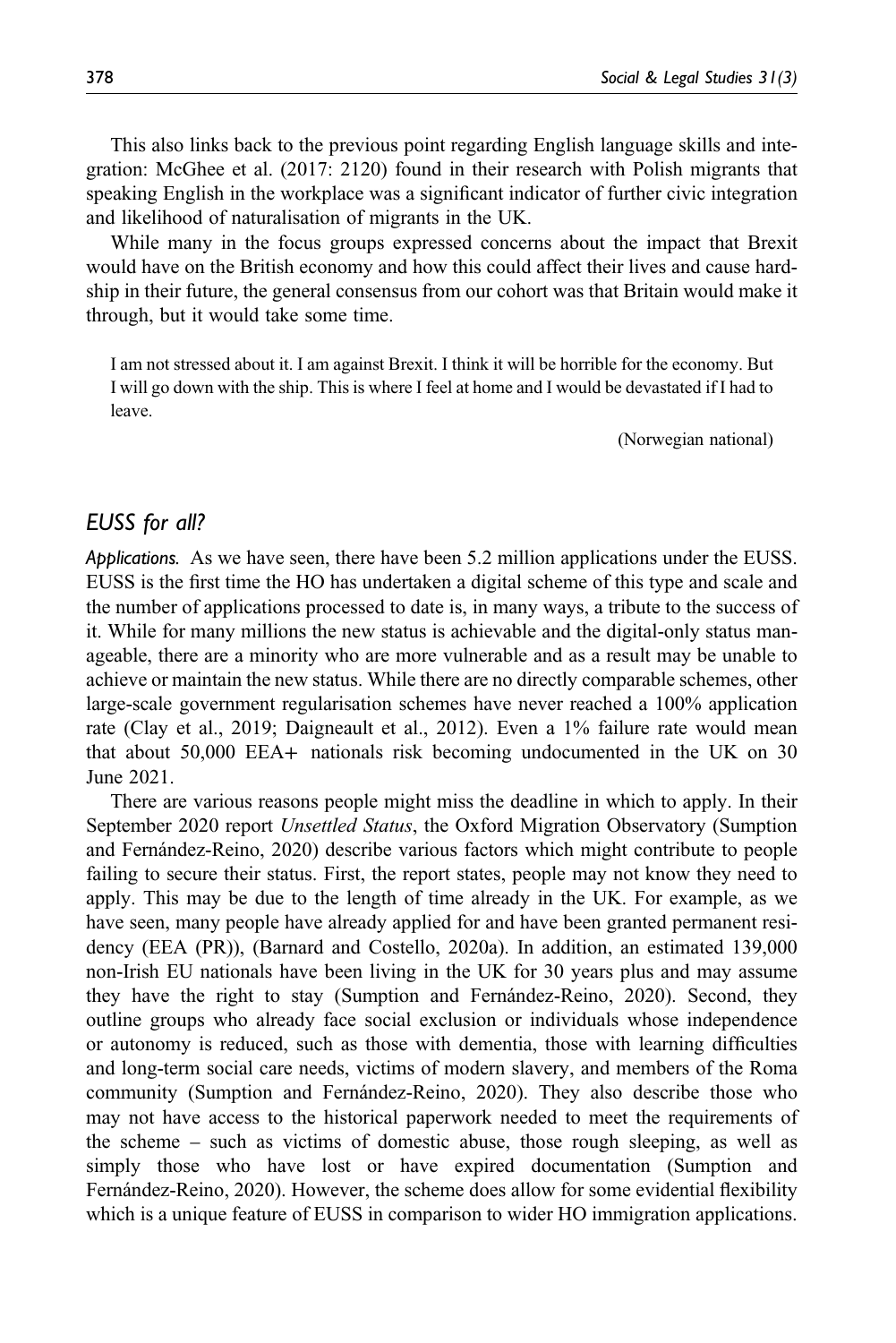This also links back to the previous point regarding English language skills and integration: McGhee et al. (2017: 2120) found in their research with Polish migrants that speaking English in the workplace was a significant indicator of further civic integration and likelihood of naturalisation of migrants in the UK.

While many in the focus groups expressed concerns about the impact that Brexit would have on the British economy and how this could affect their lives and cause hardship in their future, the general consensus from our cohort was that Britain would make it through, but it would take some time.

I am not stressed about it. I am against Brexit. I think it will be horrible for the economy. But I will go down with the ship. This is where I feel at home and I would be devastated if I had to leave.

(Norwegian national)

# EUSS for all?

Applications. As we have seen, there have been 5.2 million applications under the EUSS. EUSS is the first time the HO has undertaken a digital scheme of this type and scale and the number of applications processed to date is, in many ways, a tribute to the success of it. While for many millions the new status is achievable and the digital-only status manageable, there are a minority who are more vulnerable and as a result may be unable to achieve or maintain the new status. While there are no directly comparable schemes, other large-scale government regularisation schemes have never reached a 100% application rate (Clay et al., 2019; Daigneault et al., 2012). Even a 1% failure rate would mean that about 50,000 EEA+ nationals risk becoming undocumented in the UK on 30 June 2021.

There are various reasons people might miss the deadline in which to apply. In their September 2020 report Unsettled Status, the Oxford Migration Observatory (Sumption and Fernández-Reino, 2020) describe various factors which might contribute to people failing to secure their status. First, the report states, people may not know they need to apply. This may be due to the length of time already in the UK. For example, as we have seen, many people have already applied for and have been granted permanent residency (EEA (PR)), (Barnard and Costello, 2020a). In addition, an estimated 139,000 non-Irish EU nationals have been living in the UK for 30 years plus and may assume they have the right to stay (Sumption and Fernández-Reino, 2020). Second, they outline groups who already face social exclusion or individuals whose independence or autonomy is reduced, such as those with dementia, those with learning difficulties and long-term social care needs, victims of modern slavery, and members of the Roma community (Sumption and Fernández-Reino, 2020). They also describe those who may not have access to the historical paperwork needed to meet the requirements of the scheme – such as victims of domestic abuse, those rough sleeping, as well as simply those who have lost or have expired documentation (Sumption and Fernández-Reino, 2020). However, the scheme does allow for some evidential flexibility which is a unique feature of EUSS in comparison to wider HO immigration applications.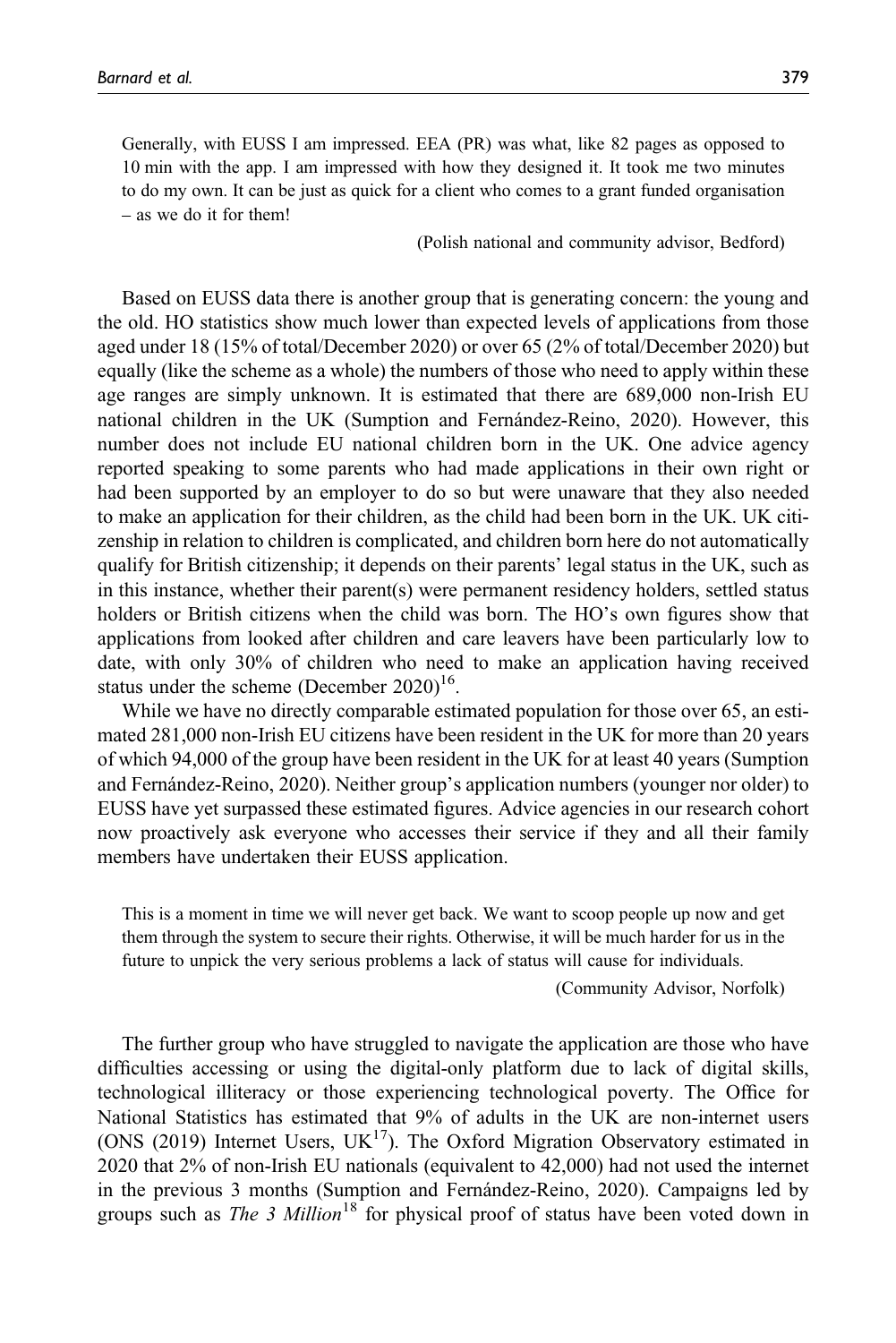Generally, with EUSS I am impressed. EEA (PR) was what, like 82 pages as opposed to 10 min with the app. I am impressed with how they designed it. It took me two minutes to do my own. It can be just as quick for a client who comes to a grant funded organisation – as we do it for them!

(Polish national and community advisor, Bedford)

Based on EUSS data there is another group that is generating concern: the young and the old. HO statistics show much lower than expected levels of applications from those aged under 18 (15% of total/December 2020) or over 65 (2% of total/December 2020) but equally (like the scheme as a whole) the numbers of those who need to apply within these age ranges are simply unknown. It is estimated that there are 689,000 non-Irish EU national children in the UK (Sumption and Fernández-Reino, 2020). However, this number does not include EU national children born in the UK. One advice agency reported speaking to some parents who had made applications in their own right or had been supported by an employer to do so but were unaware that they also needed to make an application for their children, as the child had been born in the UK. UK citizenship in relation to children is complicated, and children born here do not automatically qualify for British citizenship; it depends on their parents' legal status in the UK, such as in this instance, whether their parent(s) were permanent residency holders, settled status holders or British citizens when the child was born. The HO's own figures show that applications from looked after children and care leavers have been particularly low to date, with only 30% of children who need to make an application having received status under the scheme (December 2020)<sup>16</sup>.

While we have no directly comparable estimated population for those over 65, an estimated 281,000 non-Irish EU citizens have been resident in the UK for more than 20 years of which 94,000 of the group have been resident in the UK for at least 40 years (Sumption and Fernández-Reino, 2020). Neither group's application numbers (younger nor older) to EUSS have yet surpassed these estimated figures. Advice agencies in our research cohort now proactively ask everyone who accesses their service if they and all their family members have undertaken their EUSS application.

This is a moment in time we will never get back. We want to scoop people up now and get them through the system to secure their rights. Otherwise, it will be much harder for us in the future to unpick the very serious problems a lack of status will cause for individuals.

(Community Advisor, Norfolk)

The further group who have struggled to navigate the application are those who have difficulties accessing or using the digital-only platform due to lack of digital skills, technological illiteracy or those experiencing technological poverty. The Office for National Statistics has estimated that 9% of adults in the UK are non-internet users (ONS (2019) Internet Users,  $UK^{17}$ ). The Oxford Migration Observatory estimated in 2020 that 2% of non-Irish EU nationals (equivalent to 42,000) had not used the internet in the previous 3 months (Sumption and Fernández-Reino, 2020). Campaigns led by groups such as *The 3 Million*<sup>18</sup> for physical proof of status have been voted down in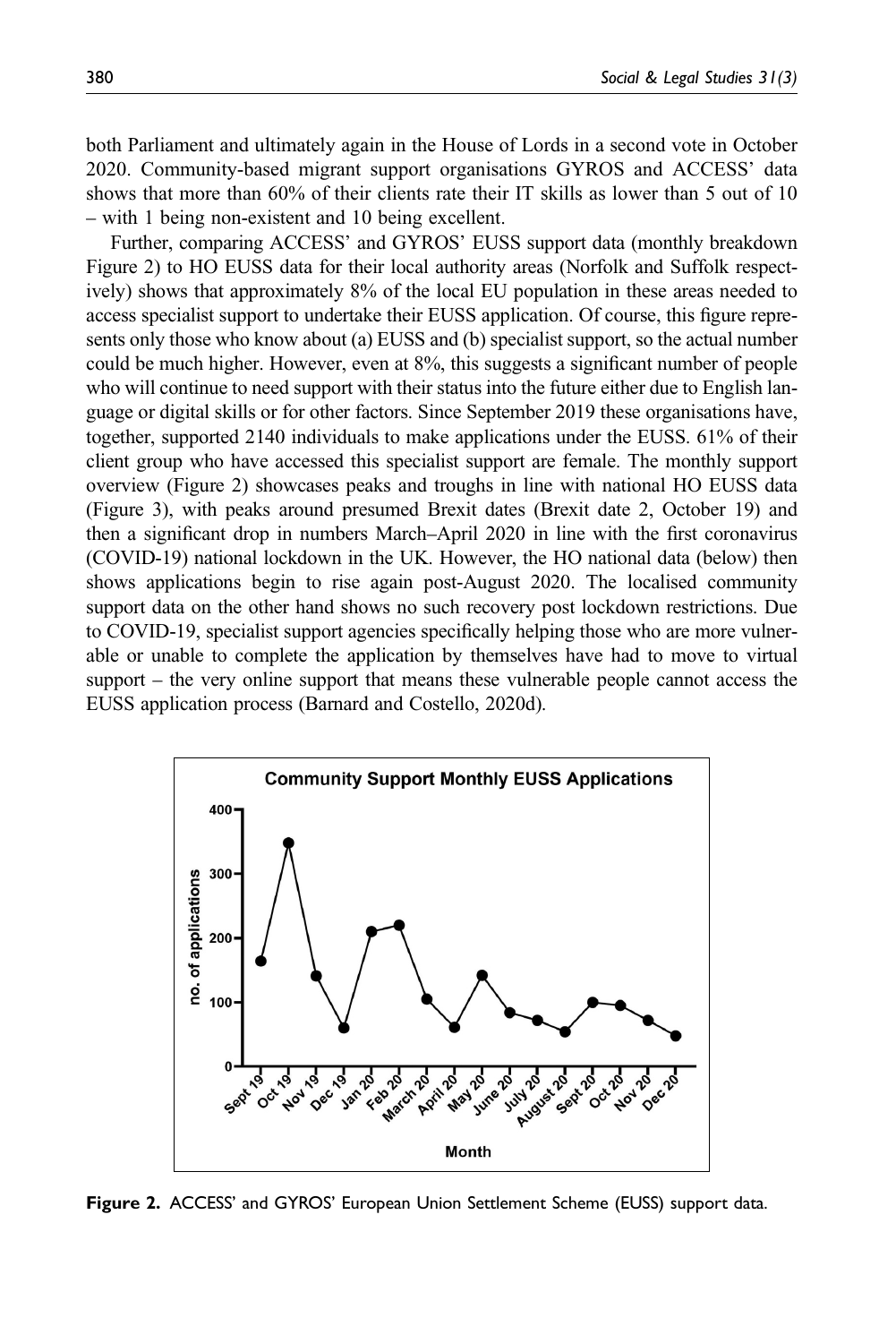both Parliament and ultimately again in the House of Lords in a second vote in October 2020. Community-based migrant support organisations GYROS and ACCESS' data shows that more than 60% of their clients rate their IT skills as lower than 5 out of 10 – with 1 being non-existent and 10 being excellent.

Further, comparing ACCESS' and GYROS' EUSS support data (monthly breakdown Figure 2) to HO EUSS data for their local authority areas (Norfolk and Suffolk respectively) shows that approximately 8% of the local EU population in these areas needed to access specialist support to undertake their EUSS application. Of course, this figure represents only those who know about (a) EUSS and (b) specialist support, so the actual number could be much higher. However, even at 8%, this suggests a significant number of people who will continue to need support with their status into the future either due to English language or digital skills or for other factors. Since September 2019 these organisations have, together, supported 2140 individuals to make applications under the EUSS. 61% of their client group who have accessed this specialist support are female. The monthly support overview (Figure 2) showcases peaks and troughs in line with national HO EUSS data (Figure 3), with peaks around presumed Brexit dates (Brexit date 2, October 19) and then a significant drop in numbers March–April 2020 in line with the first coronavirus (COVID-19) national lockdown in the UK. However, the HO national data (below) then shows applications begin to rise again post-August 2020. The localised community support data on the other hand shows no such recovery post lockdown restrictions. Due to COVID-19, specialist support agencies specifically helping those who are more vulnerable or unable to complete the application by themselves have had to move to virtual support – the very online support that means these vulnerable people cannot access the EUSS application process (Barnard and Costello, 2020d).



Figure 2. ACCESS' and GYROS' European Union Settlement Scheme (EUSS) support data.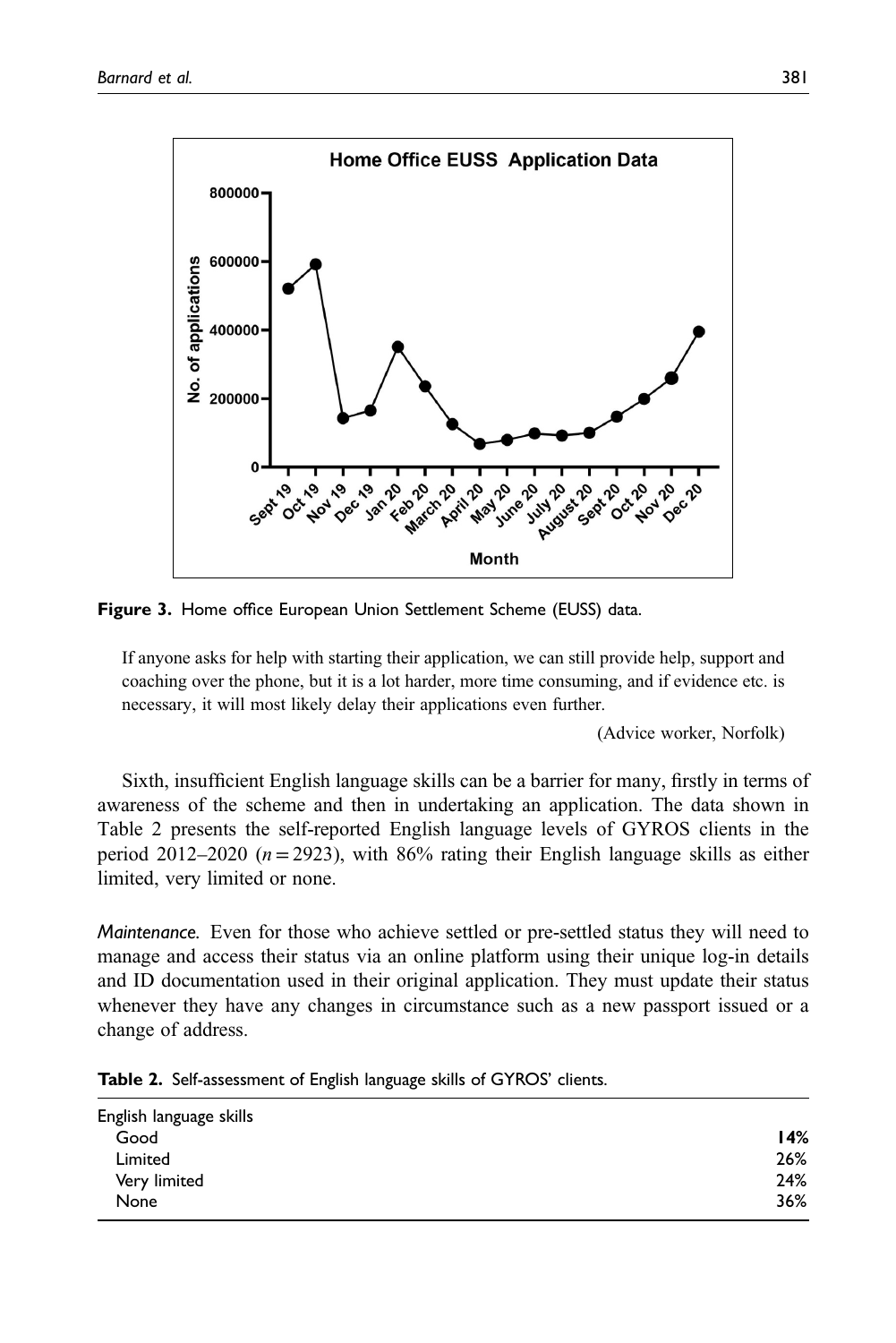

Figure 3. Home office European Union Settlement Scheme (EUSS) data.

If anyone asks for help with starting their application, we can still provide help, support and coaching over the phone, but it is a lot harder, more time consuming, and if evidence etc. is necessary, it will most likely delay their applications even further.

(Advice worker, Norfolk)

Sixth, insufficient English language skills can be a barrier for many, firstly in terms of awareness of the scheme and then in undertaking an application. The data shown in Table 2 presents the self-reported English language levels of GYROS clients in the period 2012–2020 ( $n=2923$ ), with 86% rating their English language skills as either limited, very limited or none.

Maintenance. Even for those who achieve settled or pre-settled status they will need to manage and access their status via an online platform using their unique log-in details and ID documentation used in their original application. They must update their status whenever they have any changes in circumstance such as a new passport issued or a change of address.

| English language skills |     |
|-------------------------|-----|
| Good                    | 14% |
| Limited                 | 26% |
| Very limited            | 24% |
| None                    | 36% |
|                         |     |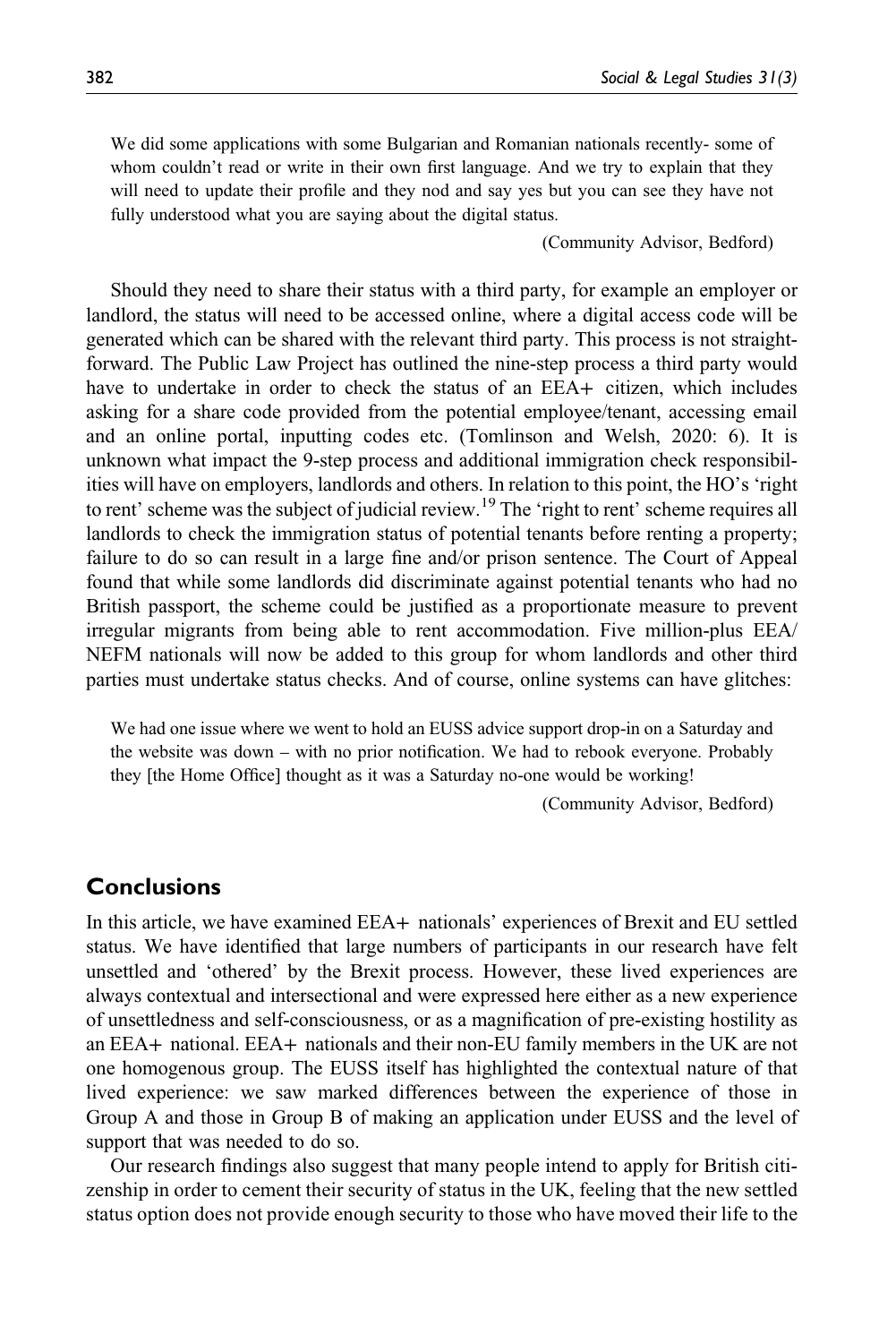We did some applications with some Bulgarian and Romanian nationals recently- some of whom couldn't read or write in their own first language. And we try to explain that they will need to update their profile and they nod and say yes but you can see they have not fully understood what you are saying about the digital status.

(Community Advisor, Bedford)

Should they need to share their status with a third party, for example an employer or landlord, the status will need to be accessed online, where a digital access code will be generated which can be shared with the relevant third party. This process is not straightforward. The Public Law Project has outlined the nine-step process a third party would have to undertake in order to check the status of an EEA+ citizen, which includes asking for a share code provided from the potential employee/tenant, accessing email and an online portal, inputting codes etc. (Tomlinson and Welsh, 2020: 6). It is unknown what impact the 9-step process and additional immigration check responsibilities will have on employers, landlords and others. In relation to this point, the HO's 'right to rent' scheme was the subject of judicial review.<sup>19</sup> The 'right to rent' scheme requires all landlords to check the immigration status of potential tenants before renting a property; failure to do so can result in a large fine and/or prison sentence. The Court of Appeal found that while some landlords did discriminate against potential tenants who had no British passport, the scheme could be justified as a proportionate measure to prevent irregular migrants from being able to rent accommodation. Five million-plus EEA/ NEFM nationals will now be added to this group for whom landlords and other third parties must undertake status checks. And of course, online systems can have glitches:

We had one issue where we went to hold an EUSS advice support drop-in on a Saturday and the website was down – with no prior notification. We had to rebook everyone. Probably they [the Home Office] thought as it was a Saturday no-one would be working!

(Community Advisor, Bedford)

# **Conclusions**

In this article, we have examined EEA+ nationals' experiences of Brexit and EU settled status. We have identified that large numbers of participants in our research have felt unsettled and 'othered' by the Brexit process. However, these lived experiences are always contextual and intersectional and were expressed here either as a new experience of unsettledness and self-consciousness, or as a magnification of pre-existing hostility as an EEA+ national. EEA+ nationals and their non-EU family members in the UK are not one homogenous group. The EUSS itself has highlighted the contextual nature of that lived experience: we saw marked differences between the experience of those in Group A and those in Group B of making an application under EUSS and the level of support that was needed to do so.

Our research findings also suggest that many people intend to apply for British citizenship in order to cement their security of status in the UK, feeling that the new settled status option does not provide enough security to those who have moved their life to the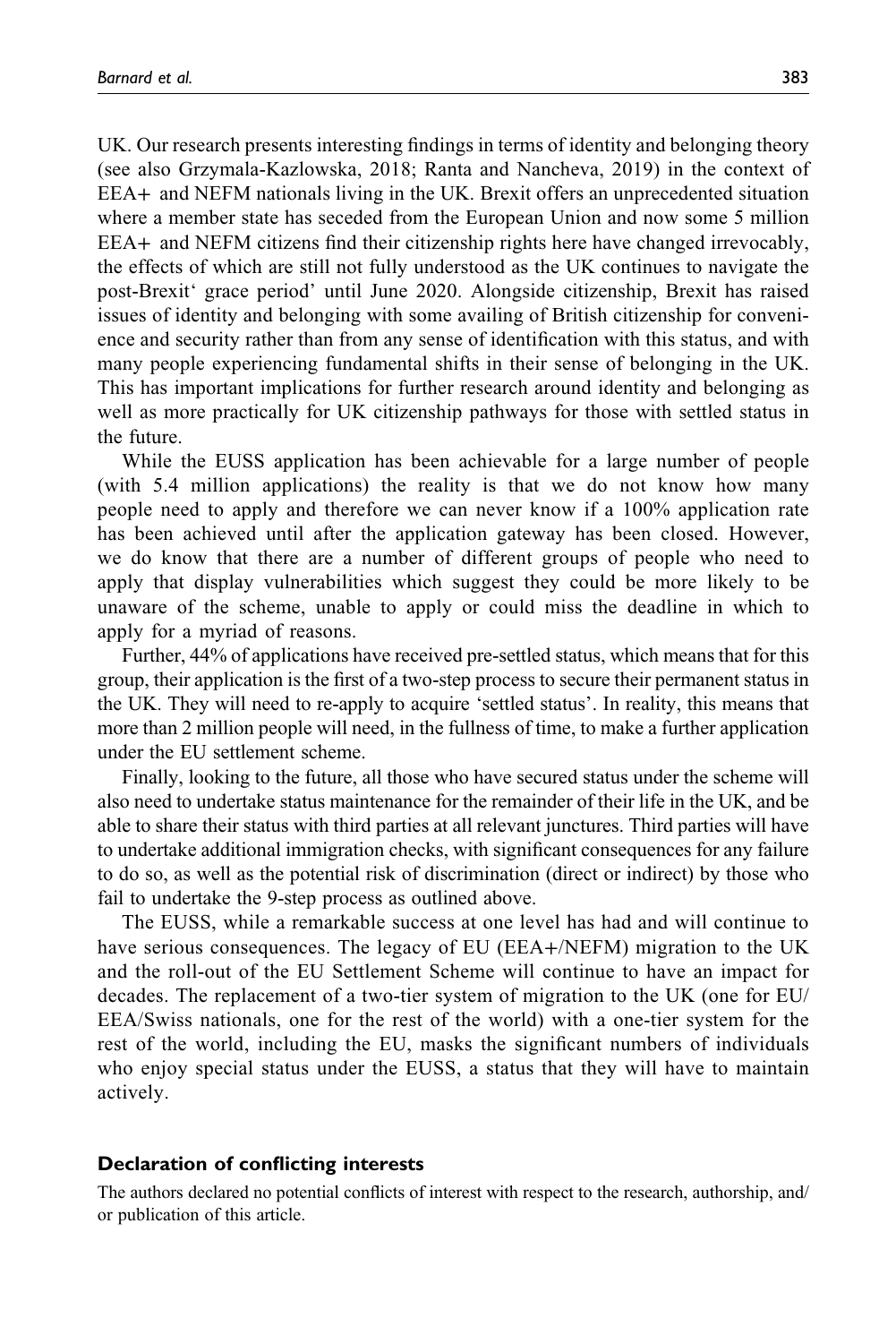UK. Our research presents interesting findings in terms of identity and belonging theory (see also Grzymala-Kazlowska, 2018; Ranta and Nancheva, 2019) in the context of EEA+ and NEFM nationals living in the UK. Brexit offers an unprecedented situation where a member state has seceded from the European Union and now some 5 million EEA+ and NEFM citizens find their citizenship rights here have changed irrevocably, the effects of which are still not fully understood as the UK continues to navigate the post-Brexit' grace period' until June 2020. Alongside citizenship, Brexit has raised issues of identity and belonging with some availing of British citizenship for convenience and security rather than from any sense of identification with this status, and with many people experiencing fundamental shifts in their sense of belonging in the UK. This has important implications for further research around identity and belonging as well as more practically for UK citizenship pathways for those with settled status in the future.

While the EUSS application has been achievable for a large number of people (with 5.4 million applications) the reality is that we do not know how many people need to apply and therefore we can never know if a 100% application rate has been achieved until after the application gateway has been closed. However, we do know that there are a number of different groups of people who need to apply that display vulnerabilities which suggest they could be more likely to be unaware of the scheme, unable to apply or could miss the deadline in which to apply for a myriad of reasons.

Further, 44% of applications have received pre-settled status, which means that for this group, their application is the first of a two-step process to secure their permanent status in the UK. They will need to re-apply to acquire 'settled status'. In reality, this means that more than 2 million people will need, in the fullness of time, to make a further application under the EU settlement scheme.

Finally, looking to the future, all those who have secured status under the scheme will also need to undertake status maintenance for the remainder of their life in the UK, and be able to share their status with third parties at all relevant junctures. Third parties will have to undertake additional immigration checks, with significant consequences for any failure to do so, as well as the potential risk of discrimination (direct or indirect) by those who fail to undertake the 9-step process as outlined above.

The EUSS, while a remarkable success at one level has had and will continue to have serious consequences. The legacy of EU (EEA+/NEFM) migration to the UK and the roll-out of the EU Settlement Scheme will continue to have an impact for decades. The replacement of a two-tier system of migration to the UK (one for EU/ EEA/Swiss nationals, one for the rest of the world) with a one-tier system for the rest of the world, including the EU, masks the significant numbers of individuals who enjoy special status under the EUSS, a status that they will have to maintain actively.

#### Declaration of conflicting interests

The authors declared no potential conflicts of interest with respect to the research, authorship, and/ or publication of this article.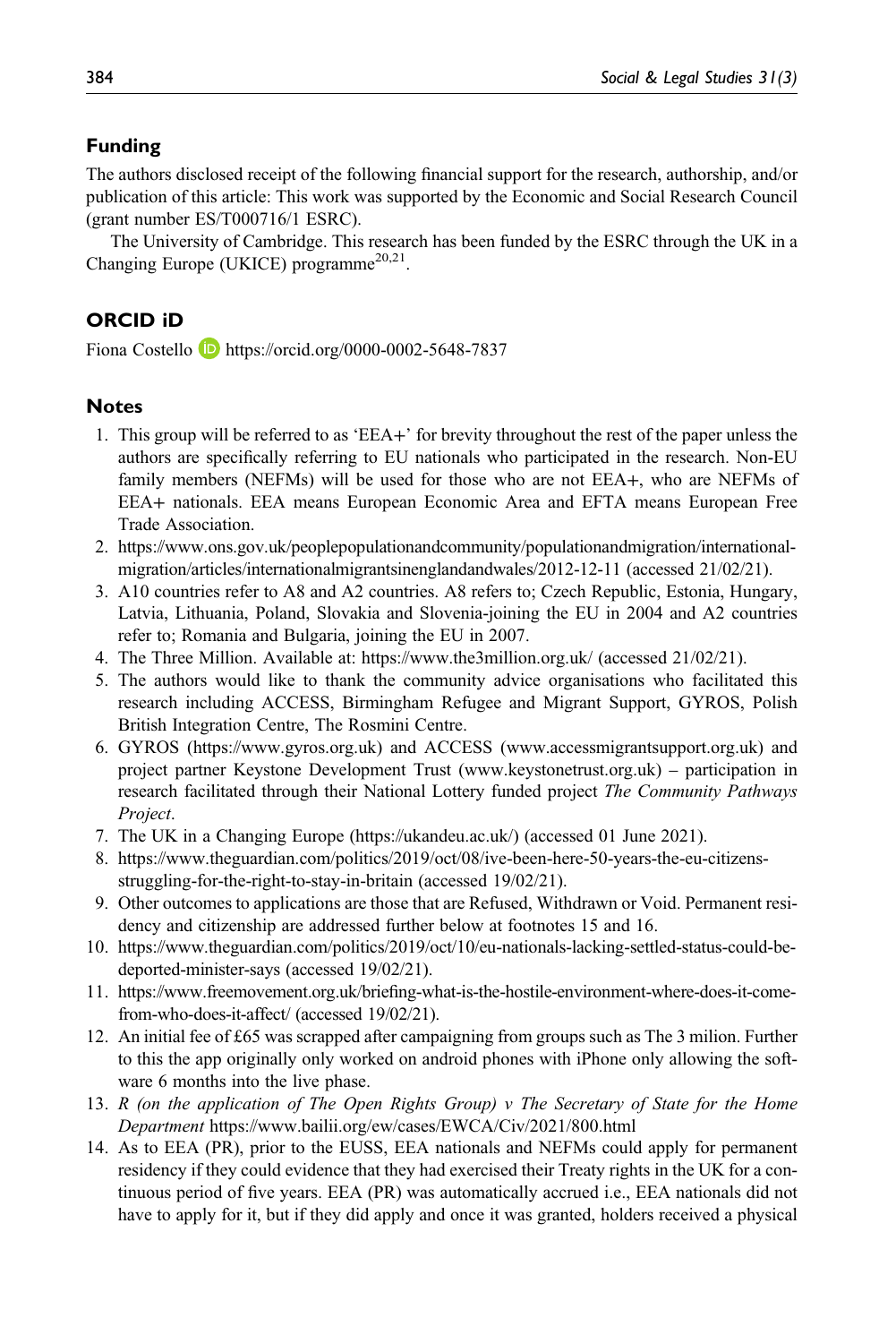## Funding

The authors disclosed receipt of the following financial support for the research, authorship, and/or publication of this article: This work was supported by the Economic and Social Research Council (grant number ES/T000716/1 ESRC).

The University of Cambridge. This research has been funded by the ESRC through the UK in a Changing Europe (UKICE) programme<sup>20,21</sup>

### ORCID iD

Fiona Costello **b** <https://orcid.org/0000-0002-5648-7837>

#### **Notes**

- 1. This group will be referred to as 'EEA+' for brevity throughout the rest of the paper unless the authors are specifically referring to EU nationals who participated in the research. Non-EU family members (NEFMs) will be used for those who are not EEA+, who are NEFMs of EEA+ nationals. EEA means European Economic Area and EFTA means European Free Trade Association.
- 2. [https://www.ons.gov.uk/peoplepopulationandcommunity/populationandmigration/international](https://www.ons.gov.uk/peoplepopulationandcommunity/populationandmigration/internationalmigration/articles/internationalmigrantsinenglandandwales/2012-12-11)[migration/articles/internationalmigrantsinenglandandwales/2012-12-11](https://www.ons.gov.uk/peoplepopulationandcommunity/populationandmigration/internationalmigration/articles/internationalmigrantsinenglandandwales/2012-12-11) (accessed 21/02/21).
- 3. A10 countries refer to A8 and A2 countries. A8 refers to; Czech Republic, Estonia, Hungary, Latvia, Lithuania, Poland, Slovakia and Slovenia-joining the EU in 2004 and A2 countries refer to; Romania and Bulgaria, joining the EU in 2007.
- 4. The Three Million. Available at:<https://www.the3million.org.uk/> (accessed 21/02/21).
- 5. The authors would like to thank the community advice organisations who facilitated this research including ACCESS, Birmingham Refugee and Migrant Support, GYROS, Polish British Integration Centre, The Rosmini Centre.
- 6. GYROS [\(https://www.gyros.org.uk](https://www.gyros.org.uk)) and ACCESS [\(www.accessmigrantsupport.org.uk](www.accessmigrantsupport.org.uk)) and project partner Keystone Development Trust [\(www.keystonetrust.org.uk\)](www.keystonetrust.org.uk) – participation in research facilitated through their National Lottery funded project The Community Pathways Project.
- 7. The UK in a Changing Europe (<https://ukandeu.ac.uk/>) (accessed 01 June 2021).
- 8. [https://www.theguardian.com/politics/2019/oct/08/ive-been-here-50-years-the-eu-citizens](https://www.theguardian.com/politics/2019/oct/08/ive-been-here-50-years-the-eu-citizens-struggling-for-the-right-to-stay-in-britain)[struggling-for-the-right-to-stay-in-britain](https://www.theguardian.com/politics/2019/oct/08/ive-been-here-50-years-the-eu-citizens-struggling-for-the-right-to-stay-in-britain) (accessed 19/02/21).
- 9. Other outcomes to applications are those that are Refused, Withdrawn or Void. Permanent residency and citizenship are addressed further below at footnotes 15 and 16.
- 10. [https://www.theguardian.com/politics/2019/oct/10/eu-nationals-lacking-settled-status-could-be](https://www.theguardian.com/politics/2019/oct/10/eu-nationals-lacking-settled-status-could-be-deported-minister-says)[deported-minister-says](https://www.theguardian.com/politics/2019/oct/10/eu-nationals-lacking-settled-status-could-be-deported-minister-says) (accessed 19/02/21).
- 11. [https://](https://www.freemovement.org.uk/briefing-what-is-the-hostile-environment-where-does-it-come-from-who-does-it-affect/)www.freemovement.org.uk/briefi[ng-what-is-the-hostile-environment-where-does-it-come](https://www.freemovement.org.uk/briefing-what-is-the-hostile-environment-where-does-it-come-from-who-does-it-affect/)[from-who-does-it-affect/](https://www.freemovement.org.uk/briefing-what-is-the-hostile-environment-where-does-it-come-from-who-does-it-affect/) (accessed 19/02/21).
- 12. An initial fee of £65 was scrapped after campaigning from groups such as The 3 milion. Further to this the app originally only worked on android phones with iPhone only allowing the software 6 months into the live phase.
- 13. R (on the application of The Open Rights Group)  $\nu$  The Secretary of State for the Home Department <https://www.bailii.org/ew/cases/EWCA/Civ/2021/800.html>
- 14. As to EEA (PR), prior to the EUSS, EEA nationals and NEFMs could apply for permanent residency if they could evidence that they had exercised their Treaty rights in the UK for a continuous period of five years. EEA (PR) was automatically accrued i.e., EEA nationals did not have to apply for it, but if they did apply and once it was granted, holders received a physical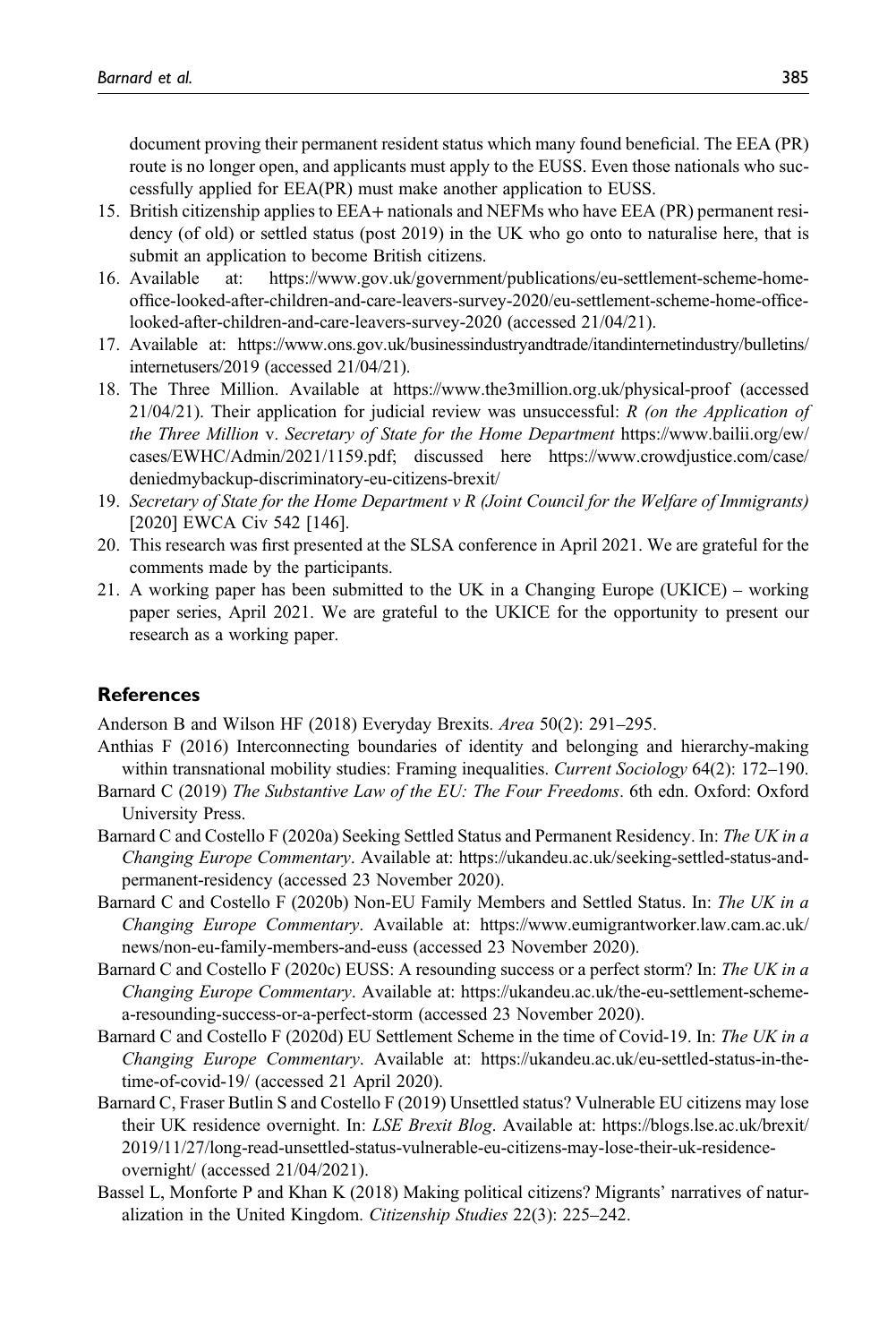document proving their permanent resident status which many found beneficial. The EEA (PR) route is no longer open, and applicants must apply to the EUSS. Even those nationals who successfully applied for EEA(PR) must make another application to EUSS.

- 15. British citizenship applies to EEA+ nationals and NEFMs who have EEA (PR) permanent residency (of old) or settled status (post 2019) in the UK who go onto to naturalise here, that is submit an application to become British citizens.
- 16. Available at: [https://www.gov.uk/government/publications/eu-settlement-scheme-home](https://www.gov.uk/government/publications/eu-settlement-scheme-home-office-looked-after-children-and-care-leavers-survey-2020/eu-settlement-scheme-home-office-looked-after-children-and-care-leavers-survey-2020)offi[ce-looked-after-children-and-care-leavers-survey-2020/eu-settlement-scheme-home-of](https://www.gov.uk/government/publications/eu-settlement-scheme-home-office-looked-after-children-and-care-leavers-survey-2020/eu-settlement-scheme-home-office-looked-after-children-and-care-leavers-survey-2020)fice[looked-after-children-and-care-leavers-survey-2020](https://www.gov.uk/government/publications/eu-settlement-scheme-home-office-looked-after-children-and-care-leavers-survey-2020/eu-settlement-scheme-home-office-looked-after-children-and-care-leavers-survey-2020) (accessed 21/04/21).
- 17. Available at: [https://www.ons.gov.uk/businessindustryandtrade/itandinternetindustry/bulletins/](https://www.ons.gov.uk/businessindustryandtrade/itandinternetindustry/bulletins/internetusers/2019) [internetusers/2019](https://www.ons.gov.uk/businessindustryandtrade/itandinternetindustry/bulletins/internetusers/2019) (accessed 21/04/21).
- 18. The Three Million. Available at<https://www.the3million.org.uk/physical-proof> (accessed  $21/04/21$ ). Their application for judicial review was unsuccessful: R (on the Application of the Three Million v. Secretary of State for the Home Department [https://www.bailii.org/ew/](https://www.bailii.org/ew/cases/EWHC/Admin/2021/1159.pdf) [cases/EWHC/Admin/2021/1159.pdf;](https://www.bailii.org/ew/cases/EWHC/Admin/2021/1159.pdf) discussed here [https://www.crowdjustice.com/case/](https://www.crowdjustice.com/case/deniedmybackup-discriminatory-eu-citizens-brexit/) [deniedmybackup-discriminatory-eu-citizens-brexit/](https://www.crowdjustice.com/case/deniedmybackup-discriminatory-eu-citizens-brexit/)
- 19. Secretary of State for the Home Department  $v R$  (Joint Council for the Welfare of Immigrants) [2020] EWCA Civ 542 [146].
- 20. This research was first presented at the SLSA conference in April 2021. We are grateful for the comments made by the participants.
- 21. A working paper has been submitted to the UK in a Changing Europe (UKICE) working paper series, April 2021. We are grateful to the UKICE for the opportunity to present our research as a working paper.

### **References**

Anderson B and Wilson HF (2018) Everyday Brexits. Area 50(2): 291–295.

- Anthias F (2016) Interconnecting boundaries of identity and belonging and hierarchy-making within transnational mobility studies: Framing inequalities. Current Sociology 64(2): 172–190.
- Barnard C (2019) The Substantive Law of the EU: The Four Freedoms. 6th edn. Oxford: Oxford University Press.
- Barnard C and Costello F (2020a) Seeking Settled Status and Permanent Residency. In: The UK in a Changing Europe Commentary. Available at: [https://ukandeu.ac.uk/seeking-settled-status-and](https://ukandeu.ac.uk/seeking-settled-status-and-permanent-residency)[permanent-residency](https://ukandeu.ac.uk/seeking-settled-status-and-permanent-residency) (accessed 23 November 2020).
- Barnard C and Costello F (2020b) Non-EU Family Members and Settled Status. In: The UK in a Changing Europe Commentary. Available at: [https://www.eumigrantworker.law.cam.ac.uk/](https://www.eumigrantworker.law.cam.ac.uk/news/non-eu-family-members-and-euss) [news/non-eu-family-members-and-euss](https://www.eumigrantworker.law.cam.ac.uk/news/non-eu-family-members-and-euss) (accessed 23 November 2020).
- Barnard C and Costello F (2020c) EUSS: A resounding success or a perfect storm? In: The UK in a Changing Europe Commentary. Available at: [https://ukandeu.ac.uk/the-eu-settlement-scheme](https://ukandeu.ac.uk/the-eu-settlement-scheme-a-resounding-success-or-a-perfect-storm)[a-resounding-success-or-a-perfect-storm](https://ukandeu.ac.uk/the-eu-settlement-scheme-a-resounding-success-or-a-perfect-storm) (accessed 23 November 2020).
- Barnard C and Costello F (2020d) EU Settlement Scheme in the time of Covid-19. In: The UK in a Changing Europe Commentary. Available at: [https://ukandeu.ac.uk/eu-settled-status-in-the](https://ukandeu.ac.uk/eu-settled-status-in-the-time-of-covid-19/)[time-of-covid-19/](https://ukandeu.ac.uk/eu-settled-status-in-the-time-of-covid-19/) (accessed 21 April 2020).
- Barnard C, Fraser Butlin S and Costello F (2019) Unsettled status? Vulnerable EU citizens may lose their UK residence overnight. In: LSE Brexit Blog. Available at: [https://blogs.lse.ac.uk/brexit/](https://blogs.lse.ac.uk/brexit/2019/11/27/long-read-unsettled-status-vulnerable-eu-citizens-may-lose-their-uk-residence-overnight/) [2019/11/27/long-read-unsettled-status-vulnerable-eu-citizens-may-lose-their-uk-residence](https://blogs.lse.ac.uk/brexit/2019/11/27/long-read-unsettled-status-vulnerable-eu-citizens-may-lose-their-uk-residence-overnight/)[overnight/](https://blogs.lse.ac.uk/brexit/2019/11/27/long-read-unsettled-status-vulnerable-eu-citizens-may-lose-their-uk-residence-overnight/) (accessed 21/04/2021).
- Bassel L, Monforte P and Khan K (2018) Making political citizens? Migrants' narratives of naturalization in the United Kingdom. Citizenship Studies 22(3): 225–242.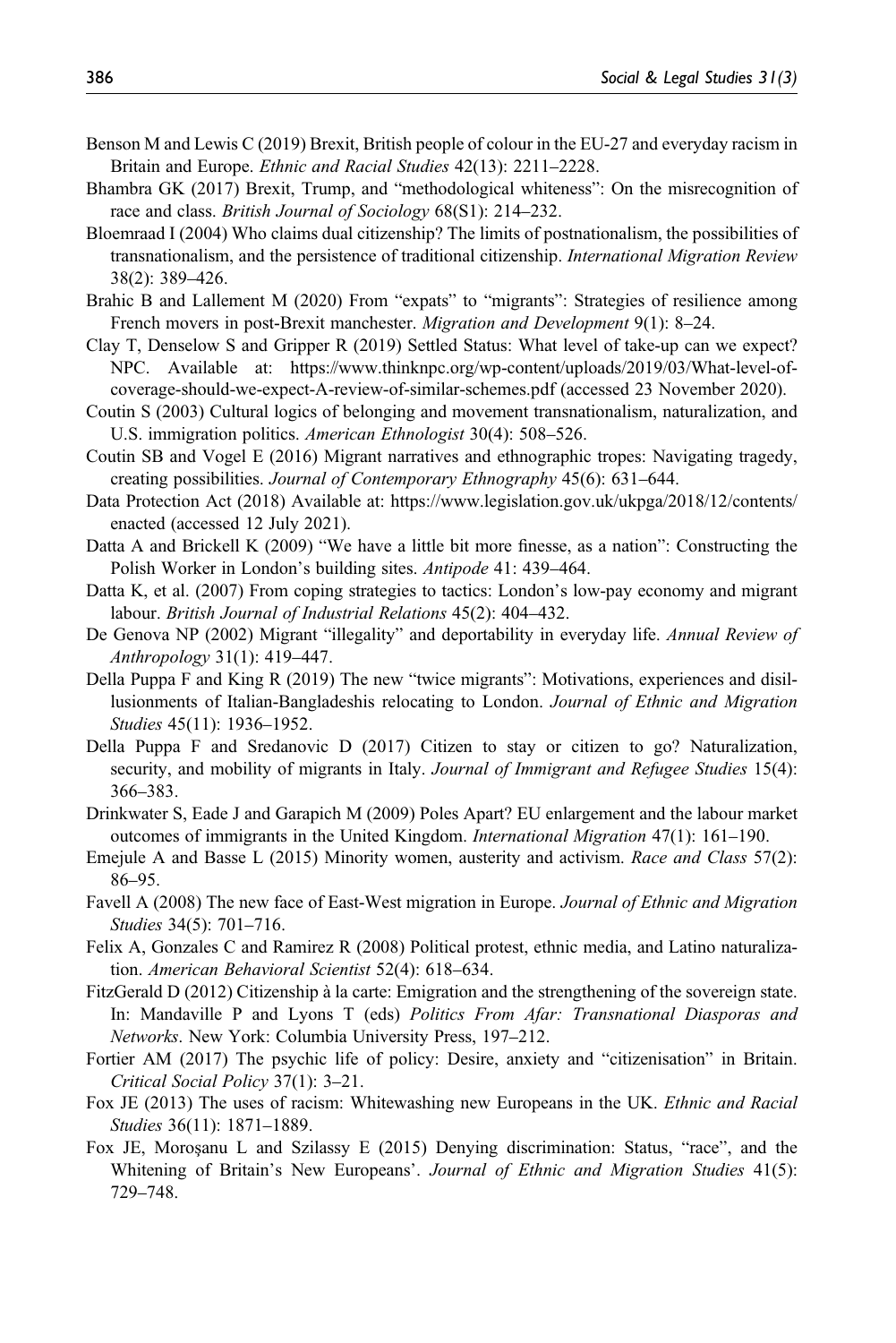- Benson M and Lewis C (2019) Brexit, British people of colour in the EU-27 and everyday racism in Britain and Europe. Ethnic and Racial Studies 42(13): 2211–2228.
- Bhambra GK (2017) Brexit, Trump, and "methodological whiteness": On the misrecognition of race and class. British Journal of Sociology 68(S1): 214–232.
- Bloemraad I (2004) Who claims dual citizenship? The limits of postnationalism, the possibilities of transnationalism, and the persistence of traditional citizenship. International Migration Review 38(2): 389–426.
- Brahic B and Lallement M (2020) From "expats" to "migrants": Strategies of resilience among French movers in post-Brexit manchester. Migration and Development 9(1): 8-24.
- Clay T, Denselow S and Gripper R (2019) Settled Status: What level of take-up can we expect? NPC. Available at: [https://www.thinknpc.org/wp-content/uploads/2019/03/What-level-of](https://www.thinknpc.org/wp-content/uploads/2019/03/What-level-of-coverage-should-we-expect-A-review-of-similar-schemes.pdf)[coverage-should-we-expect-A-review-of-similar-schemes.pdf](https://www.thinknpc.org/wp-content/uploads/2019/03/What-level-of-coverage-should-we-expect-A-review-of-similar-schemes.pdf) (accessed 23 November 2020).
- Coutin S (2003) Cultural logics of belonging and movement transnationalism, naturalization, and U.S. immigration politics. American Ethnologist 30(4): 508–526.
- Coutin SB and Vogel E (2016) Migrant narratives and ethnographic tropes: Navigating tragedy, creating possibilities. Journal of Contemporary Ethnography 45(6): 631-644.
- Data Protection Act (2018) Available at: [https://www.legislation.gov.uk/ukpga/2018/12/contents/](https://www.legislation.gov.uk/ukpga/2018/12/contents/enacted) [enacted](https://www.legislation.gov.uk/ukpga/2018/12/contents/enacted) (accessed 12 July 2021).
- Datta A and Brickell K (2009) "We have a little bit more finesse, as a nation": Constructing the Polish Worker in London's building sites. Antipode 41: 439–464.
- Datta K, et al. (2007) From coping strategies to tactics: London's low-pay economy and migrant labour. British Journal of Industrial Relations 45(2): 404–432.
- De Genova NP (2002) Migrant "illegality" and deportability in everyday life. Annual Review of Anthropology 31(1): 419–447.
- Della Puppa F and King R (2019) The new "twice migrants": Motivations, experiences and disillusionments of Italian-Bangladeshis relocating to London. Journal of Ethnic and Migration Studies 45(11): 1936–1952.
- Della Puppa F and Sredanovic D (2017) Citizen to stay or citizen to go? Naturalization, security, and mobility of migrants in Italy. Journal of Immigrant and Refugee Studies 15(4): 366–383.
- Drinkwater S, Eade J and Garapich M (2009) Poles Apart? EU enlargement and the labour market outcomes of immigrants in the United Kingdom. *International Migration* 47(1): 161–190.
- Emejule A and Basse L (2015) Minority women, austerity and activism. Race and Class 57(2): 86–95.
- Favell A (2008) The new face of East-West migration in Europe. Journal of Ethnic and Migration Studies 34(5): 701–716.
- Felix A, Gonzales C and Ramirez R (2008) Political protest, ethnic media, and Latino naturalization. American Behavioral Scientist 52(4): 618–634.
- FitzGerald D (2012) Citizenship à la carte: Emigration and the strengthening of the sovereign state. In: Mandaville P and Lyons T (eds) Politics From Afar: Transnational Diasporas and Networks. New York: Columbia University Press, 197–212.
- Fortier AM (2017) The psychic life of policy: Desire, anxiety and "citizenisation" in Britain. Critical Social Policy 37(1): 3–21.
- Fox JE (2013) The uses of racism: Whitewashing new Europeans in the UK. Ethnic and Racial Studies 36(11): 1871–1889.
- Fox JE, Morosanu L and Szilassy E (2015) Denying discrimination: Status, "race", and the Whitening of Britain's New Europeans'. Journal of Ethnic and Migration Studies 41(5): 729–748.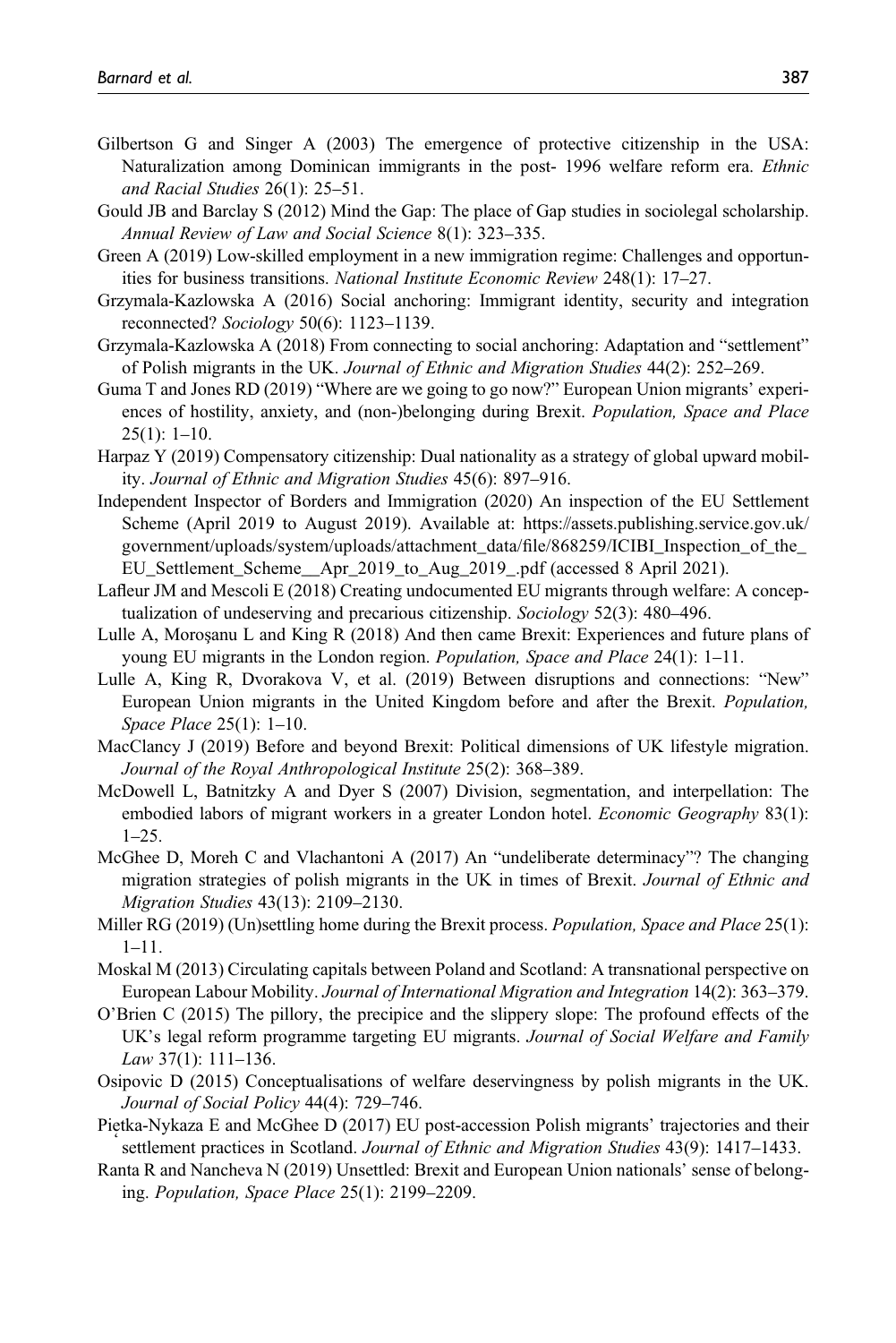- Gilbertson G and Singer A (2003) The emergence of protective citizenship in the USA: Naturalization among Dominican immigrants in the post- 1996 welfare reform era. Ethnic and Racial Studies 26(1): 25–51.
- Gould JB and Barclay S (2012) Mind the Gap: The place of Gap studies in sociolegal scholarship. Annual Review of Law and Social Science 8(1): 323–335.
- Green A (2019) Low-skilled employment in a new immigration regime: Challenges and opportunities for business transitions. National Institute Economic Review 248(1): 17–27.
- Grzymala-Kazlowska A (2016) Social anchoring: Immigrant identity, security and integration reconnected? Sociology 50(6): 1123–1139.
- Grzymala-Kazlowska A (2018) From connecting to social anchoring: Adaptation and "settlement" of Polish migrants in the UK. Journal of Ethnic and Migration Studies 44(2): 252–269.
- Guma T and Jones RD (2019) "Where are we going to go now?" European Union migrants' experiences of hostility, anxiety, and (non-)belonging during Brexit. Population, Space and Place 25(1): 1–10.
- Harpaz Y (2019) Compensatory citizenship: Dual nationality as a strategy of global upward mobility. Journal of Ethnic and Migration Studies 45(6): 897–916.
- Independent Inspector of Borders and Immigration (2020) An inspection of the EU Settlement Scheme (April 2019 to August 2019). Available at: [https://assets.publishing.service.gov.uk/](https://assets.publishing.service.gov.uk/government/uploads/system/uploads/attachment_data/file/868259/ICIBI_Inspection_of_the_EU_Settlement_Scheme__Apr_2019_to_Aug_2019_.pdf) [government/uploads/system/uploads/attachment\\_data/](https://assets.publishing.service.gov.uk/government/uploads/system/uploads/attachment_data/file/868259/ICIBI_Inspection_of_the_EU_Settlement_Scheme__Apr_2019_to_Aug_2019_.pdf)file/868259/ICIBI\_Inspection\_of\_the\_ [EU\\_Settlement\\_Scheme\\_\\_Apr\\_2019\\_to\\_Aug\\_2019\\_.pdf](https://assets.publishing.service.gov.uk/government/uploads/system/uploads/attachment_data/file/868259/ICIBI_Inspection_of_the_EU_Settlement_Scheme__Apr_2019_to_Aug_2019_.pdf) (accessed 8 April 2021).
- Lafleur JM and Mescoli E (2018) Creating undocumented EU migrants through welfare: A conceptualization of undeserving and precarious citizenship. Sociology 52(3): 480-496.
- Lulle A, Moroşanu L and King R (2018) And then came Brexit: Experiences and future plans of young EU migrants in the London region. Population, Space and Place 24(1): 1–11.
- Lulle A, King R, Dvorakova V, et al. (2019) Between disruptions and connections: "New" European Union migrants in the United Kingdom before and after the Brexit. Population, Space Place 25(1): 1–10.
- MacClancy J (2019) Before and beyond Brexit: Political dimensions of UK lifestyle migration. Journal of the Royal Anthropological Institute 25(2): 368–389.
- McDowell L, Batnitzky A and Dyer S (2007) Division, segmentation, and interpellation: The embodied labors of migrant workers in a greater London hotel. *Economic Geography* 83(1): 1–25.
- McGhee D, Moreh C and Vlachantoni A (2017) An "undeliberate determinacy"? The changing migration strategies of polish migrants in the UK in times of Brexit. Journal of Ethnic and Migration Studies 43(13): 2109–2130.
- Miller RG (2019) (Un)settling home during the Brexit process. Population, Space and Place 25(1): 1–11.
- Moskal M (2013) Circulating capitals between Poland and Scotland: A transnational perspective on European Labour Mobility. Journal of International Migration and Integration 14(2): 363–379.
- O'Brien C (2015) The pillory, the precipice and the slippery slope: The profound effects of the UK's legal reform programme targeting EU migrants. Journal of Social Welfare and Family Law 37(1): 111–136.
- Osipovic D (2015) Conceptualisations of welfare deservingness by polish migrants in the UK. Journal of Social Policy 44(4): 729–746.
- Pietka-Nykaza E and McGhee D (2017) EU post-accession Polish migrants' trajectories and their settlement practices in Scotland. Journal of Ethnic and Migration Studies 43(9): 1417–1433.
- Ranta R and Nancheva N (2019) Unsettled: Brexit and European Union nationals' sense of belonging. Population, Space Place 25(1): 2199–2209.